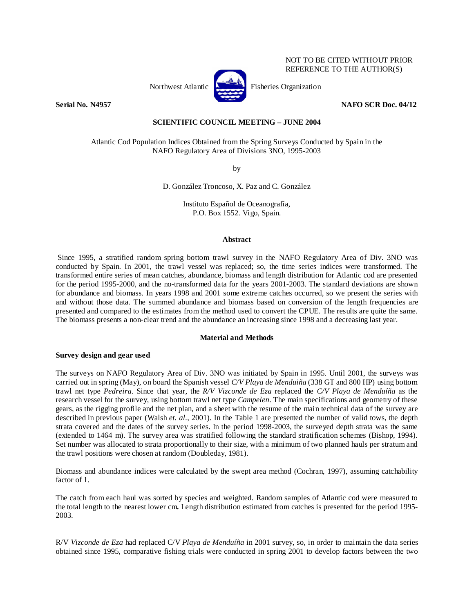

NOT TO BE CITED WITHOUT PRIOR REFERENCE TO THE AUTHOR(S)

### **Serial No. N4957** NAFO SCR Doc. 04/12

# **SCIENTIFIC COUNCIL MEETING – JUNE 2004**

Atlantic Cod Population Indices Obtained from the Spring Surveys Conducted by Spain in the NAFO Regulatory Area of Divisions 3NO, 1995-2003

by

D. González Troncoso, X. Paz and C. González

Instituto Español de Oceanografía, P.O. Box 1552. Vigo, Spain.

### **Abstract**

 Since 1995, a stratified random spring bottom trawl survey in the NAFO Regulatory Area of Div. 3NO was conducted by Spain. In 2001, the trawl vessel was replaced; so, the time series indices were transformed. The transformed entire series of mean catches, abundance, biomass and length distribution for Atlantic cod are presented for the period 1995-2000, and the no-transformed data for the years 2001-2003. The standard deviations are shown for abundance and biomass. In years 1998 and 2001 some extreme catches occurred, so we present the series with and without those data. The summed abundance and biomass based on conversion of the length frequencies are presented and compared to the estimates from the method used to convert the CPUE. The results are quite the same. The biomass presents a non-clear trend and the abundance an increasing since 1998 and a decreasing last year.

# **Material and Methods**

# **Survey design and gear used**

The surveys on NAFO Regulatory Area of Div. 3NO was initiated by Spain in 1995. Until 2001, the surveys was carried out in spring (May), on board the Spanish vessel *C/V Playa de Menduiña* (338 GT and 800 HP) using bottom trawl net type *Pedreira*. Since that year, the *R/V Vizconde de Eza* replaced the *C/V Playa de Menduíña* as the research vessel for the survey, using bottom trawl net type *Campelen*. The main specifications and geometry of these gears, as the rigging profile and the net plan, and a sheet with the resume of the main technical data of the survey are described in previous paper (Walsh *et. al.*, 2001). In the Table 1 are presented the number of valid tows, the depth strata covered and the dates of the survey series. In the period 1998-2003, the surveyed depth strata was the same (extended to 1464 m). The survey area was stratified following the standard stratification schemes (Bishop, 1994). Set number was allocated to strata proportionally to their size, with a minimum of two planned hauls per stratum and the trawl positions were chosen at random (Doubleday, 1981).

Biomass and abundance indices were calculated by the swept area method (Cochran, 1997), assuming catchability factor of 1.

The catch from each haul was sorted by species and weighted. Random samples of Atlantic cod were measured to the total length to the nearest lower cm**.** Length distribution estimated from catches is presented for the period 1995- 2003.

R/V *Vizconde de Eza* had replaced C/V *Playa de Menduíña* in 2001 survey, so, in order to maintain the data series obtained since 1995, comparative fishing trials were conducted in spring 2001 to develop factors between the two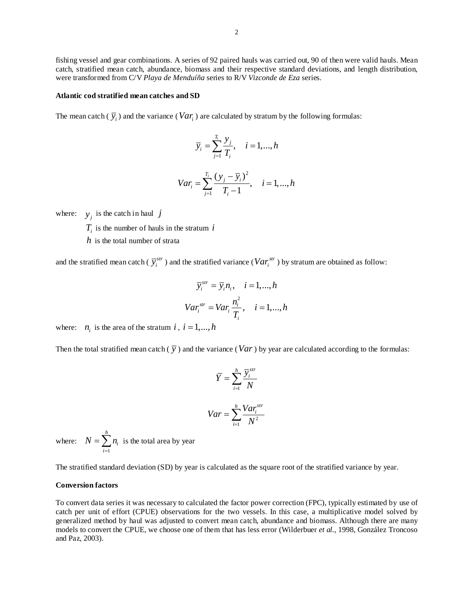fishing vessel and gear combinations. A series of 92 paired hauls was carried out, 90 of then were valid hauls. Mean catch, stratified mean catch, abundance, biomass and their respective standard deviations, and length distribution, were transformed from C/V *Playa de Menduíña* series to R/V *Vizconde de Eza* series.

#### **Atlantic cod stratified mean catches and SD**

The mean catch  $(\bar{y}_i)$  and the variance (*Var<sub>i</sub>*) are calculated by stratum by the following formulas:

$$
\overline{y}_i = \sum_{j=1}^{T_i} \frac{y_j}{T_i}, \quad i = 1, \dots, h
$$

$$
Var_i = \sum_{j=1}^{T_i} \frac{(y_j - \overline{y}_i)^2}{T_i - 1}, \quad i = 1, ..., h
$$

where:  $y_j$  is the catch in haul *j* 

 $T_i$  is the number of hauls in the stratum  $i$ 

*h* is the total number of strata

and the stratified mean catch ( $\bar{y}^{str}_i$ ) and the stratified variance ( $Var^{str}_i$ ) by stratum are obtained as follow:

$$
\overline{y}_i^{str} = \overline{y}_i n_i, \quad i = 1, ..., h
$$
  

$$
Var_i^{str} = Var_i \frac{n_i^2}{T_i}, \quad i = 1, ..., h
$$

where:  $n_i$  is the area of the stratum *i*,  $i = 1,...,h$ 

Then the total stratified mean catch  $(\bar{y})$  and the variance (*Var*) by year are calculated according to the formulas:

$$
\overline{Y} = \sum_{i=1}^{h} \frac{\overline{y}_{i}^{str}}{N}
$$

$$
Var = \sum_{i=1}^{h} \frac{Var_{i}^{str}}{N^{2}}
$$

where: 1 *h i i*  $N = \sum n$  $=\sum_{i=1}^{n} n_i$  is the total area by year

The stratified standard deviation (SD) by year is calculated as the square root of the stratified variance by year.

### **Conversion factors**

To convert data series it was necessary to calculated the factor power correction (FPC), typically estimated by use of catch per unit of effort (CPUE) observations for the two vessels. In this case, a multiplicative model solved by generalized method by haul was adjusted to convert mean catch, abundance and biomass. Although there are many models to convert the CPUE, we choose one of them that has less error (Wilderbuer *et al.*, 1998, González Troncoso and Paz, 2003).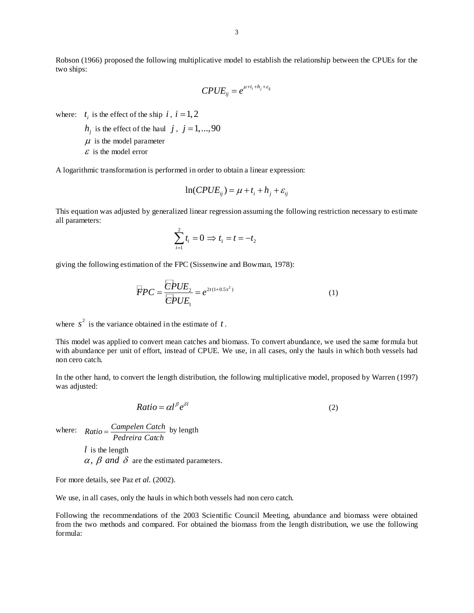Robson (1966) proposed the following multiplicative model to establish the relationship between the CPUEs for the two ships:

$$
CPUE_{ij} = e^{\mu + t_i + h_j + \varepsilon_{ij}}
$$

where:  $t_i$  is the effect of the ship  $i$ ,  $i = 1, 2$ 

- $h_i$  is the effect of the haul *j*, *j* = 1,...,90
- $\mu$  is the model parameter

 $\epsilon$  is the model error

A logarithmic transformation is performed in order to obtain a linear expression:

$$
\ln(CPUE_{ij}) = \mu + t_i + h_j + \varepsilon_{ij}
$$

This equation was adjusted by generalized linear regression assuming the following restriction necessary to estimate all parameters:

$$
\sum_{i=1}^{2} t_i = 0 \Rightarrow t_1 = t = -t_2
$$

giving the following estimation of the FPC (Sissenwine and Bowman, 1978):

$$
\overline{F}PC = \frac{\overline{C}PUE_2}{\overline{C}PUE_1} = e^{2t(1+0.5s^2)}
$$
 (1)

where  $s^2$  is the variance obtained in the estimate of  $t$ .

This model was applied to convert mean catches and biomass. To convert abundance, we used the same formula but with abundance per unit of effort, instead of CPUE. We use, in all cases, only the hauls in which both vessels had non cero catch.

In the other hand, to convert the length distribution, the following multiplicative model, proposed by Warren (1997) was adjusted:

$$
Ratio = \alpha l^{\beta} e^{\delta l} \tag{2}
$$

where:  $Ratio = \frac{Campelen Catch}{Pedreira Catch}$  by length

*l* is the length  $\alpha$ ,  $\beta$  and  $\delta$  are the estimated parameters.

For more details, see Paz *et al.* (2002).

We use, in all cases, only the hauls in which both vessels had non cero catch.

Following the recommendations of the 2003 Scientific Council Meeting, abundance and biomass were obtained from the two methods and compared. For obtained the biomass from the length distribution, we use the following formula: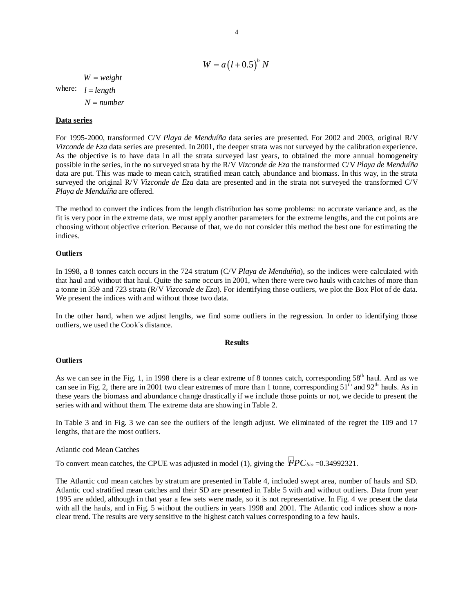$$
W = a(l + 0.5)^{b} N
$$
  
where:  $l = length$   
 $N = number$ 

# **Data series**

For 1995-2000, transformed C/V *Playa de Menduíña* data series are presented. For 2002 and 2003, original R/V *Vizconde de Eza* data series are presented. In 2001, the deeper strata was not surveyed by the calibration experience. As the objective is to have data in all the strata surveyed last years, to obtained the more annual homogeneity possible in the series, in the no surveyed strata by the R/V *Vizconde de Eza* the transformed C/V *Playa de Menduíña* data are put. This was made to mean catch, stratified mean catch, abundance and biomass. In this way, in the strata surveyed the original R/V *Vizconde de Eza* data are presented and in the strata not surveyed the transformed C/V *Playa de Menduíña* are offered.

The method to convert the indices from the length distribution has some problems: no accurate variance and, as the fit is very poor in the extreme data, we must apply another parameters for the extreme lengths, and the cut points are choosing without objective criterion. Because of that, we do not consider this method the best one for estimating the indices.

### **Outliers**

In 1998, a 8 tonnes catch occurs in the 724 stratum (C/V *Playa de Menduíña*), so the indices were calculated with that haul and without that haul. Quite the same occurs in 2001, when there were two hauls with catches of more than a tonne in 359 and 723 strata (R/V *Vizconde de Eza*). For identifying those outliers, we plot the Box Plot of de data. We present the indices with and without those two data.

In the other hand, when we adjust lengths, we find some outliers in the regression. In order to identifying those outliers, we used the Cook´s distance.

#### **Results**

### **Outliers**

As we can see in the Fig. 1, in 1998 there is a clear extreme of 8 tonnes catch, corresponding 58<sup>th</sup> haul. And as we can see in Fig. 2, there are in 2001 two clear extremes of more than 1 tonne, corresponding  $51<sup>th</sup>$  and  $92<sup>th</sup>$  hauls. As in these years the biomass and abundance change drastically if we include those points or not, we decide to present the series with and without them. The extreme data are showing in Table 2.

In Table 3 and in Fig. 3 we can see the outliers of the length adjust. We eliminated of the regret the 109 and 17 lengths, that are the most outliers.

### Atlantic cod Mean Catches

To convert mean catches, the CPUE was adjusted in model (1), giving the  $\overline{PPC}_{bio} = 0.34992321$ .

The Atlantic cod mean catches by stratum are presented in Table 4, included swept area, number of hauls and SD. Atlantic cod stratified mean catches and their SD are presented in Table 5 with and without outliers. Data from year 1995 are added, although in that year a few sets were made, so it is not representative. In Fig. 4 we present the data with all the hauls, and in Fig. 5 without the outliers in years 1998 and 2001. The Atlantic cod indices show a nonclear trend. The results are very sensitive to the highest catch values corresponding to a few hauls.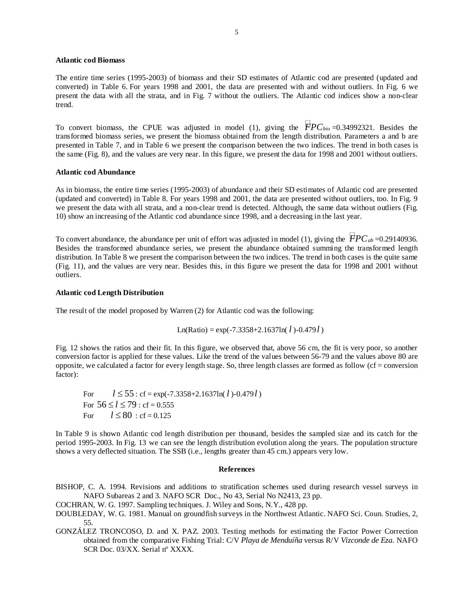# **Atlantic cod Biomass**

The entire time series (1995-2003) of biomass and their SD estimates of Atlantic cod are presented (updated and converted) in Table 6. For years 1998 and 2001, the data are presented with and without outliers. In Fig. 6 we present the data with all the strata, and in Fig. 7 without the outliers. The Atlantic cod indices show a non-clear trend.

To convert biomass, the CPUE was adjusted in model (1), giving the  $\overline{FPC_{bio}}=0.34992321$ . Besides the transformed biomass series, we present the biomass obtained from the length distribution. Parameters a and b are presented in Table 7, and in Table 6 we present the comparison between the two indices. The trend in both cases is the same (Fig. 8), and the values are very near. In this figure, we present the data for 1998 and 2001 without outliers.

### **Atlantic cod Abundance**

As in biomass, the entire time series (1995-2003) of abundance and their SD estimates of Atlantic cod are presented (updated and converted) in Table 8. For years 1998 and 2001, the data are presented without outliers, too. In Fig. 9 we present the data with all strata, and a non-clear trend is detected. Although, the same data without outliers (Fig. 10) show an increasing of the Atlantic cod abundance since 1998, and a decreasing in the last year.

To convert abundance, the abundance per unit of effort was adjusted in model (1), giving the  $\overline{FPC}_{ab}$ =0.29140936. Besides the transformed abundance series, we present the abundance obtained summing the transformed length distribution. In Table 8 we present the comparison between the two indices. The trend in both cases is the quite same (Fig. 11), and the values are very near. Besides this, in this figure we present the data for 1998 and 2001 without outliers.

# **Atlantic cod Length Distribution**

The result of the model proposed by Warren (2) for Atlantic cod was the following:

Ln(Ratio) = exp(-7.3358+2.1637ln(
$$
l
$$
)-0.479 $l$ )

Fig. 12 shows the ratios and their fit. In this figure, we observed that, above 56 cm, the fit is very poor, so another conversion factor is applied for these values. Like the trend of the values between 56-79 and the values above 80 are opposite, we calculated a factor for every length stage. So, three length classes are formed as follow ( $cf = conversion$ factor):

For  $l \le 55$ : cf = exp(-7.3358+2.1637ln( *l*)-0.479*l*) For  $56 \le l \le 79$ : cf = 0.555 For  $l \le 80$ : cf = 0.125

In Table 9 is shown Atlantic cod length distribution per thousand, besides the sampled size and its catch for the period 1995-2003. In Fig. 13 we can see the length distribution evolution along the years. The population structure shows a very deflected situation. The SSB (i.e., lengths greater than 45 cm.) appears very low.

### **References**

BISHOP, C. A. 1994. Revisions and additions to stratification schemes used during research vessel surveys in NAFO Subareas 2 and 3*.* NAFO SCR Doc., No 43, Serial No N2413, 23 pp.

- COCHRAN, W. G. 1997. Sampling techniques. J. Wiley and Sons, N.Y., 428 pp.
- DOUBLEDAY, W. G. 1981. Manual on groundfish surveys in the Northwest Atlantic. NAFO Sci. Coun. Studies, 2, 55.
- GONZÁLEZ TRONCOSO, D. and X. PAZ. 2003. Testing methods for estimating the Factor Power Correction obtained from the comparative Fishing Trial: C/V *Playa de Menduíña* versus R/V *Vizconde de Eza*. NAFO SCR Doc. 03/XX. Serial nº XXXX.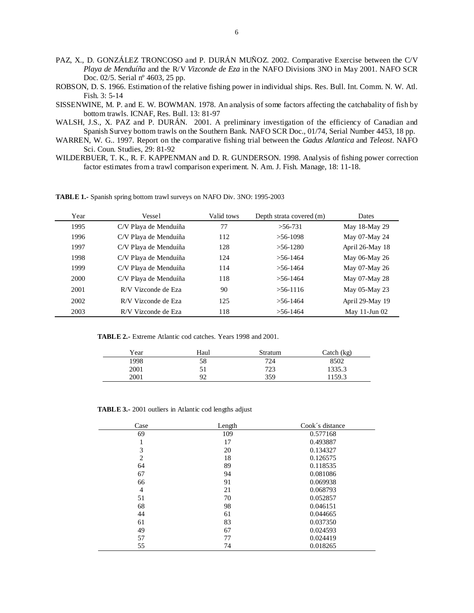- PAZ, X., D. GONZÁLEZ TRONCOSO and P. DURÁN MUÑOZ. 2002. Comparative Exercise between the C/V *Playa de Menduíña* and the R/V *Vizconde de Eza* in the NAFO Divisions 3NO in May 2001. NAFO SCR Doc. 02/5. Serial nº 4603, 25 pp.
- ROBSON, D. S. 1966. Estimation of the relative fishing power in individual ships. Res. Bull. Int. Comm. N. W. Atl. Fish. 3: 5-14
- SISSENWINE, M. P. and E. W. BOWMAN. 1978. An analysis of some factors affecting the catchabality of fish by bottom trawls. ICNAF, Res. Bull. 13: 81-97
- WALSH, J.S., X. PAZ and P. DURÁN. 2001. A preliminary investigation of the efficiency of Canadian and Spanish Survey bottom trawls on the Southern Bank. NAFO SCR Doc., 01/74, Serial Number 4453, 18 pp.
- WARREN, W. G.. 1997. Report on the comparative fishing trial between the *Gadus Atlantica* and *Teleost*. NAFO Sci. Coun. Studies, 29: 81-92
- WILDERBUER, T. K., R. F. KAPPENMAN and D. R. GUNDERSON. 1998. Analysis of fishing power correction factor estimates from a trawl comparison experiment. N. Am. J. Fish. Manage, 18: 11-18.

**TABLE 1.-** Spanish spring bottom trawl surveys on NAFO Div. 3NO: 1995-2003

| Year | Vessel                | Valid tows | Depth strata covered (m) | Dates              |
|------|-----------------------|------------|--------------------------|--------------------|
| 1995 | C/V Playa de Menduíña | 77         | $>56-731$                | May 18-May 29      |
| 1996 | C/V Playa de Menduíña | 112        | $>56-1098$               | May 07-May 24      |
| 1997 | C/V Playa de Menduíña | 128        | $>56-1280$               | April 26-May 18    |
| 1998 | C/V Playa de Menduíña | 124        | $> 56 - 1464$            | May 06-May 26      |
| 1999 | C/V Playa de Menduíña | 114        | $>56-1464$               | May 07-May 26      |
| 2000 | C/V Playa de Menduíña | 118        | $>56-1464$               | May 07-May 28      |
| 2001 | R/V Vizconde de Eza   | 90         | $>56-1116$               | May 05-May 23      |
| 2002 | R/V Vizconde de Eza   | 125        | $>56-1464$               | April 29-May 19    |
| 2003 | R/V Vizconde de Eza   | 118        | $>$ 56-1464              | May $11$ -Jun $02$ |

**TABLE 2.-** Extreme Atlantic cod catches. Years 1998 and 2001.

| Year | Haul | Stratum | Catch (kg) |
|------|------|---------|------------|
| 1998 | 58   | 724     | 8502       |
| 2001 | 51   | 723     | 1335.3     |
| 2001 | 92   | 359     | 1159.3     |

**TABLE 3.-** 2001 outliers in Atlantic cod lengths adjust

| Case           | Length | Cook's distance |
|----------------|--------|-----------------|
| 69             | 109    | 0.577168        |
|                | 17     | 0.493887        |
| 3              | 20     | 0.134327        |
| $\overline{c}$ | 18     | 0.126575        |
| 64             | 89     | 0.118535        |
| 67             | 94     | 0.081086        |
| 66             | 91     | 0.069938        |
| $\overline{4}$ | 21     | 0.068793        |
| 51             | 70     | 0.052857        |
| 68             | 98     | 0.046151        |
| 44             | 61     | 0.044665        |
| 61             | 83     | 0.037350        |
| 49             | 67     | 0.024593        |
| 57             | 77     | 0.024419        |
| 55             | 74     | 0.018265        |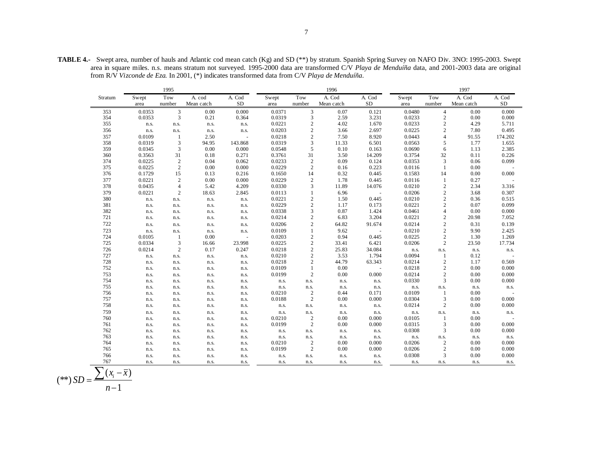|         |        | 1995           |            |           | 1996   |                  |            |          |        | 1997           |            |         |  |
|---------|--------|----------------|------------|-----------|--------|------------------|------------|----------|--------|----------------|------------|---------|--|
| Stratum | Swept  | Tow            | A. cod     | A. Cod    | Swept  | Tow              | A. Cod     | A. Cod   | Swept  | Tow            | A. Cod     | A. Cod  |  |
|         | area   | number         | Mean catch | <b>SD</b> | area   | number           | Mean catch | $\rm SD$ | area   | number         | Mean catch | SD      |  |
| 353     | 0.0353 | 3              | 0.00       | 0.000     | 0.0371 | 3                | 0.07       | 0.121    | 0.0480 | $\overline{4}$ | 0.00       | 0.000   |  |
| 354     | 0.0353 | 3              | 0.21       | 0.364     | 0.0319 | 3                | 2.59       | 3.231    | 0.0233 | $\sqrt{2}$     | 0.00       | 0.000   |  |
| 355     | n.s.   | n.s.           | n.s.       | n.s.      | 0.0221 | $\sqrt{2}$       | 4.02       | 1.670    | 0.0233 | $\overline{c}$ | 4.29       | 5.711   |  |
| 356     | n.s.   | n.s.           | n.s.       | n.s.      | 0.0203 | $\mathbf{2}$     | 3.66       | 2.697    | 0.0225 | $\sqrt{2}$     | 7.80       | 0.495   |  |
| 357     | 0.0109 | 1              | 2.50       | ÷,        | 0.0218 | $\mathbf{2}$     | 7.50       | 8.920    | 0.0443 | $\overline{4}$ | 91.55      | 174.202 |  |
| 358     | 0.0319 | 3              | 94.95      | 143.868   | 0.0319 | 3                | 11.33      | 6.501    | 0.0563 | 5              | 1.77       | 1.655   |  |
| 359     | 0.0345 | 3              | 0.00       | 0.000     | 0.0548 | 5                | 0.10       | 0.163    | 0.0690 | 6              | 1.13       | 2.385   |  |
| 360     | 0.3563 | 31             | 0.18       | 0.271     | 0.3761 | 31               | 3.50       | 14.209   | 0.3754 | 32             | 0.11       | 0.226   |  |
| 374     | 0.0225 | $\sqrt{2}$     | 0.04       | 0.062     | 0.0233 | $\overline{c}$   | 0.09       | 0.124    | 0.0353 | $\overline{3}$ | 0.06       | 0.099   |  |
| 375     | 0.0225 | $\overline{c}$ | 0.00       | 0.000     | 0.0229 | $\sqrt{2}$       | 0.16       | 0.223    | 0.0116 | $\mathbf{1}$   | 0.00       |         |  |
| 376     | 0.1729 | 15             | 0.13       | 0.216     | 0.1650 | 14               | 0.32       | 0.445    | 0.1583 | 14             | 0.00       | 0.000   |  |
| 377     | 0.0221 | $\overline{2}$ | 0.00       | 0.000     | 0.0229 | $\overline{c}$   | 1.78       | 0.445    | 0.0116 | $\mathbf{1}$   | 0.27       |         |  |
| 378     | 0.0435 | $\overline{4}$ | 5.42       | 4.209     | 0.0330 | 3                | 11.89      | 14.076   | 0.0210 | $\overline{2}$ | 2.34       | 3.316   |  |
| 379     | 0.0221 | $\overline{2}$ | 18.63      | 2.845     | 0.0113 | $\mathbf{1}$     | 6.96       |          | 0.0206 | $\sqrt{2}$     | 3.68       | 0.307   |  |
| 380     | n.s.   | n.s.           | n.s.       | n.s.      | 0.0221 | $\overline{c}$   | 1.50       | 0.445    | 0.0210 | $\overline{c}$ | 0.36       | 0.515   |  |
| 381     | n.s.   | n.s.           | n.s.       | n.s.      | 0.0229 | $\boldsymbol{2}$ | 1.17       | 0.173    | 0.0221 | 2              | 0.07       | 0.099   |  |
| 382     | n.s.   | n.s.           | n.s.       | n.s.      | 0.0338 | 3                | 0.87       | 1.424    | 0.0461 | $\overline{4}$ | 0.00       | 0.000   |  |
| 721     | n.s.   | n.s.           | n.s.       | n.s.      | 0.0214 | $\mathbf{2}$     | 6.83       | 3.204    | 0.0221 | $\overline{2}$ | 20.98      | 7.052   |  |
| 722     | n.s.   | n.s.           | n.s.       | n.s.      | 0.0206 | $\overline{c}$   | 64.82      | 91.674   | 0.0214 | $\sqrt{2}$     | 0.31       | 0.139   |  |
| 723     | n.s.   | n.s.           | n.s.       | n.s.      | 0.0109 | 1                | 9.62       | $\sim$   | 0.0210 | $\mathbf{2}$   | 9.90       | 2.425   |  |
| 724     | 0.0105 | 1              | 0.00       | ÷,        | 0.0203 | $\overline{c}$   | 0.94       | 0.445    | 0.0225 | $\overline{c}$ | 1.30       | 1.269   |  |
| 725     | 0.0334 | 3              | 16.66      | 23.998    | 0.0225 | $\mathbf{2}$     | 33.41      | 6.421    | 0.0206 | $\overline{c}$ | 23.50      | 17.734  |  |
| 726     | 0.0214 | $\overline{2}$ | 0.17       | 0.247     | 0.0218 | $\mathbf{2}$     | 25.83      | 34.084   | n.s.   | n.s.           | n.s.       | n.s.    |  |
| 727     | n.s.   | n.s.           | n.s.       | n.s.      | 0.0210 | $\overline{c}$   | 3.53       | 1.794    | 0.0094 | $\mathbf{1}$   | 0.12       |         |  |
| 728     | n.s.   | n.s.           | n.s.       | n.s.      | 0.0218 | $\mathbf{2}$     | 44.79      | 63.343   | 0.0214 | $\sqrt{2}$     | 1.17       | 0.569   |  |
| 752     | n.s.   | n.s.           | n.s.       | n.s.      | 0.0109 | 1                | 0.00       |          | 0.0218 | $\overline{2}$ | 0.00       | 0.000   |  |
| 753     | n.s.   | n.s.           | n.s.       | n.s.      | 0.0199 | $\overline{c}$   | 0.00       | 0.000    | 0.0214 | $\overline{2}$ | 0.00       | 0.000   |  |
| 754     | n.s.   | n.s.           | n.s.       | n.s.      | n.s.   | n.s.             | n.s.       | n.s.     | 0.0330 | 3              | 0.00       | 0.000   |  |
| 755     | n.s.   | n.s.           | n.s.       | n.s.      | n.s.   | n.s.             | n.s.       | n.s.     | n.s.   | n.s.           | n.s.       | n.s.    |  |
| 756     | n.s.   | n.s.           | n.s.       | n.s.      | 0.0210 | 2                | 0.44       | 0.171    | 0.0109 | 1              | 0.00       |         |  |
| 757     | n.s.   | n.s.           | n.s.       | n.s.      | 0.0188 | 2                | 0.00       | 0.000    | 0.0304 | 3              | 0.00       | 0.000   |  |
| 758     | n.s.   | n.s.           | n.s.       | n.s.      | n.s.   | n.s.             | n.s.       | n.s.     | 0.0214 | $\overline{c}$ | 0.00       | 0.000   |  |
| 759     | n.s.   | n.s.           | n.s.       | n.s.      | n.s.   | n.s.             | n.s.       | n.s.     | n.s.   | n.s.           | n.s.       | n.s.    |  |
| 760     | n.s.   | n.s.           | n.s.       | n.s.      | 0.0210 | $\overline{2}$   | 0.00       | 0.000    | 0.0105 | 1              | 0.00       |         |  |
| 761     | n.s.   | n.s.           | n.s.       | n.s.      | 0.0199 | 2                | 0.00       | 0.000    | 0.0315 | 3              | 0.00       | 0.000   |  |
| 762     | n.s.   | n.s.           | n.s.       | n.s.      | n.s.   | n.s.             | n.s.       | n.s.     | 0.0308 | $\overline{3}$ | 0.00       | 0.000   |  |
| 763     | n.s.   | n.s.           | n.s.       | n.s.      | n.s.   | n.s.             | n.s.       | n.s.     | n.s.   | n.s.           | n.s.       | n.s.    |  |
| 764     | n.s.   | n.s.           | n.s.       | n.s.      | 0.0210 | 2                | 0.00       | 0.000    | 0.0206 | 2              | 0.00       | 0.000   |  |
| 765     | n.s.   | n.s.           | n.s.       | n.s.      | 0.0199 | 2                | 0.00       | 0.000    | 0.0206 | $\overline{2}$ | 0.00       | 0.000   |  |
| 766     | n.s.   | n.s.           | n.s.       | n.s.      | n.s.   | n.s.             | n.s.       | n.s.     | 0.0308 | $\overline{3}$ | 0.00       | 0.000   |  |
| 767     | n.s.   | n.s.           | n.s.       | n.s.      | n.s.   | n.s.             | n.s.       | n.s.     | n.s.   | n.s.           | n.s.       | n.s.    |  |
|         |        |                |            |           |        |                  |            |          |        |                |            |         |  |

$$
(**) SD = \frac{\sum (x_i - \overline{x})}{n-1}
$$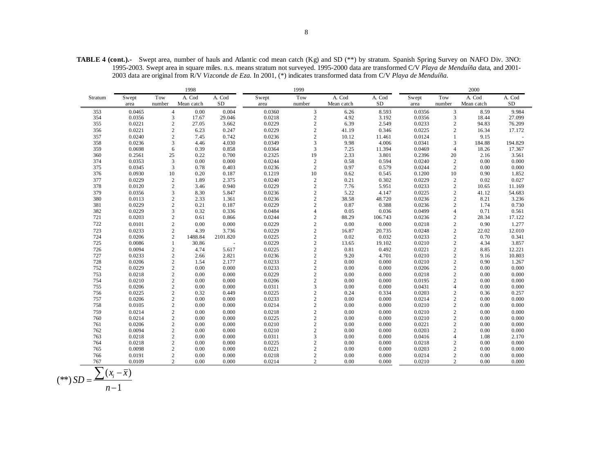**TABLE 4 (cont.).-** Swept area, number of hauls and Atlantic cod mean catch (Kg) and SD (\*\*) by stratum. Spanish Spring Survey on NAFO Div. 3NO: 1995-2003. Swept area in square miles. n.s. means stratum not surveyed. 1995-2000 data are transformed C/V *Playa de Menduíña* data, and 2001- 2003 data are original from R/V *Vizconde de Eza*. In 2001, (\*) indicates transformed data from C/V *Playa de Menduíña*.

|                          |        |                  | 1998       |          |        | 2000           |            |           |        |                  |            |          |
|--------------------------|--------|------------------|------------|----------|--------|----------------|------------|-----------|--------|------------------|------------|----------|
| Stratum                  | Swept  | Tow              | A. Cod     | A. Cod   | Swept  | Tow            | A. Cod     | A. Cod    | Swept  | Tow              | A. Cod     | A. Cod   |
|                          | area   | number           | Mean catch | $\rm SD$ | area   | number         | Mean catch | <b>SD</b> | area   | number           | Mean catch | $\rm SD$ |
| 353                      | 0.0465 | $\overline{4}$   | 0.00       | 0.004    | 0.0360 | 3              | 6.26       | 8.593     | 0.0356 | 3                | 8.59       | 9.984    |
| 354                      | 0.0356 | 3                | 17.67      | 29.046   | 0.0218 | 2              | 4.92       | 3.192     | 0.0356 | 3                | 18.44      | 27.099   |
| 355                      | 0.0221 | $\overline{c}$   | 27.05      | 3.662    | 0.0229 | $\sqrt{2}$     | 6.39       | 2.549     | 0.0233 | $\overline{c}$   | 94.83      | 76.209   |
| 356                      | 0.0221 | $\overline{c}$   | 6.23       | 0.247    | 0.0229 | $\overline{c}$ | 41.19      | 0.346     | 0.0225 | $\overline{c}$   | 16.34      | 17.172   |
| 357                      | 0.0240 | $\mathfrak{2}$   | 7.45       | 0.742    | 0.0236 | $\sqrt{2}$     | 10.12      | 11.461    | 0.0124 |                  | 9.15       |          |
| 358                      | 0.0236 | 3                | 4.46       | 4.030    | 0.0349 | $\overline{3}$ | 9.98       | 4.006     | 0.0341 | 3                | 184.88     | 194.829  |
| 359                      | 0.0698 | 6                | 0.39       | 0.858    | 0.0364 | 3              | 7.25       | 11.394    | 0.0469 | $\overline{4}$   | 18.26      | 17.367   |
| 360                      | 0.2561 | 25               | 0.22       | 0.700    | 0.2325 | 19             | 2.33       | 3.801     | 0.2396 | 20               | 2.16       | 3.561    |
| 374                      | 0.0353 | 3                | 0.00       | 0.000    | 0.0244 | $\sqrt{2}$     | 0.58       | 0.594     | 0.0240 | $\overline{2}$   | 0.00       | 0.000    |
| 375                      | 0.0345 | 3                | 0.78       | 0.403    | 0.0236 | $\overline{2}$ | 0.97       | 0.579     | 0.0244 | $\mathbf{2}$     | 0.00       | 0.000    |
| 376                      | 0.0930 | 10               | 0.20       | 0.187    | 0.1219 | 10             | 0.62       | 0.545     | 0.1200 | 10               | 0.90       | 1.852    |
| 377                      | 0.0229 | $\sqrt{2}$       | 1.89       | 2.375    | 0.0240 | $\overline{2}$ | 0.21       | 0.302     | 0.0229 | $\sqrt{2}$       | 0.02       | 0.027    |
| 378                      | 0.0120 | $\overline{c}$   | 3.46       | 0.940    | 0.0229 | 2              | 7.76       | 5.951     | 0.0233 | $\overline{c}$   | 10.65      | 11.169   |
| 379                      | 0.0356 | 3                | 8.30       | 5.847    | 0.0236 | $\sqrt{2}$     | 5.22       | 4.147     | 0.0225 | $\overline{c}$   | 41.12      | 54.683   |
| 380                      | 0.0113 | $\overline{c}$   | 2.33       | 1.361    | 0.0236 | $\sqrt{2}$     | 38.58      | 48.720    | 0.0236 | $\overline{c}$   | 8.21       | 3.236    |
| 381                      | 0.0229 | $\overline{c}$   | 0.21       | 0.187    | 0.0229 | $\overline{c}$ | 0.87       | 0.388     | 0.0236 | $\overline{c}$   | 1.74       | 0.730    |
| 382                      | 0.0229 | 3                | 0.32       | 0.336    | 0.0484 | $\overline{4}$ | 0.05       | 0.036     | 0.0499 | $\overline{4}$   | 0.71       | 0.561    |
| 721                      | 0.0203 | $\overline{c}$   | 0.61       | 0.866    | 0.0244 | $\overline{2}$ | 88.29      | 106.743   | 0.0236 | $\overline{c}$   | 28.34      | 17.122   |
| 722                      |        |                  |            | 0.000    | 0.0229 |                |            | 0.000     |        |                  |            | 1.277    |
|                          | 0.0101 | $\overline{c}$   | 0.00       |          |        | $\sqrt{2}$     | 0.00       |           | 0.0218 | $\overline{c}$   | 0.90       |          |
| 723                      | 0.0233 | $\overline{c}$   | 4.39       | 3.736    | 0.0229 | $\sqrt{2}$     | 16.87      | 20.735    | 0.0248 | $\sqrt{2}$       | 22.02      | 12.010   |
| 724                      | 0.0206 | $\overline{c}$   | 1488.84    | 2101.820 | 0.0225 | $\overline{c}$ | 0.02       | 0.032     | 0.0233 | $\overline{c}$   | 0.70       | 0.341    |
| 725                      | 0.0086 | $\mathbf{1}$     | 30.86      |          | 0.0229 | $\sqrt{2}$     | 13.65      | 19.102    | 0.0210 | $\mathbf{2}$     | 4.34       | 3.857    |
| 726                      | 0.0094 | $\overline{c}$   | 4.74       | 5.617    | 0.0225 | $\sqrt{2}$     | 0.81       | 0.492     | 0.0221 | $\overline{c}$   | 8.85       | 12.221   |
| 727                      | 0.0233 | $\overline{c}$   | 2.66       | 2.821    | 0.0236 | $\sqrt{2}$     | 9.20       | 4.701     | 0.0210 | $\mathbf{2}$     | 9.16       | 10.803   |
| 728                      | 0.0206 | $\overline{c}$   | 1.54       | 2.177    | 0.0233 | $\sqrt{2}$     | 0.00       | 0.000     | 0.0210 | $\overline{c}$   | 0.90       | 1.267    |
| 752                      | 0.0229 | $\overline{c}$   | 0.00       | 0.000    | 0.0233 | $\sqrt{2}$     | 0.00       | 0.000     | 0.0206 | $\overline{c}$   | 0.00       | 0.000    |
| 753                      | 0.0218 | $\overline{c}$   | 0.00       | 0.000    | 0.0229 | $\sqrt{2}$     | 0.00       | 0.000     | 0.0218 | $\overline{c}$   | 0.00       | 0.000    |
| 754                      | 0.0210 | $\overline{c}$   | 0.00       | 0.000    | 0.0206 | $\overline{c}$ | 0.00       | 0.000     | 0.0195 | $\overline{c}$   | 0.00       | 0.000    |
| 755                      | 0.0206 | $\sqrt{2}$       | 0.00       | 0.000    | 0.0311 | 3              | 0.00       | 0.000     | 0.0431 | $\overline{4}$   | 0.00       | 0.000    |
| 756                      | 0.0225 | $\overline{c}$   | 0.32       | 0.449    | 0.0225 | $\sqrt{2}$     | 0.24       | 0.334     | 0.0203 | $\overline{c}$   | 0.36       | 0.257    |
| 757                      | 0.0206 | $\boldsymbol{2}$ | 0.00       | 0.000    | 0.0233 | $\sqrt{2}$     | 0.00       | 0.000     | 0.0214 | $\boldsymbol{2}$ | 0.00       | 0.000    |
| 758                      | 0.0105 | $\overline{c}$   | 0.00       | 0.000    | 0.0214 | $\sqrt{2}$     | 0.00       | 0.000     | 0.0210 | $\sqrt{2}$       | 0.00       | 0.000    |
| 759                      | 0.0214 | $\overline{c}$   | 0.00       | 0.000    | 0.0218 | $\sqrt{2}$     | 0.00       | 0.000     | 0.0210 | $\overline{c}$   | 0.00       | 0.000    |
| 760                      | 0.0214 | $\overline{c}$   | 0.00       | 0.000    | 0.0225 | $\overline{c}$ | 0.00       | 0.000     | 0.0210 | $\overline{c}$   | 0.00       | 0.000    |
| 761                      | 0.0206 | $\overline{c}$   | 0.00       | 0.000    | 0.0210 | $\sqrt{2}$     | 0.00       | 0.000     | 0.0221 | $\sqrt{2}$       | 0.00       | 0.000    |
| 762                      | 0.0094 | $\overline{c}$   | 0.00       | 0.000    | 0.0210 | $\sqrt{2}$     | 0.00       | 0.000     | 0.0203 | $\overline{c}$   | 0.00       | 0.000    |
| 763                      | 0.0218 | $\overline{c}$   | 0.00       | 0.000    | 0.0311 | 3              | 0.00       | 0.000     | 0.0416 | $\overline{4}$   | 1.08       | 2.170    |
| 764                      | 0.0218 | $\overline{c}$   | 0.00       | 0.000    | 0.0225 | $\overline{c}$ | 0.00       | 0.000     | 0.0218 | $\overline{c}$   | 0.00       | 0.000    |
| 765                      | 0.0098 | $\overline{c}$   | 0.00       | 0.000    | 0.0221 | $\overline{c}$ | 0.00       | 0.000     | 0.0203 | $\overline{c}$   | 0.00       | 0.000    |
| 766                      | 0.0191 | $\mathfrak{2}$   | 0.00       | 0.000    | 0.0218 | $\overline{2}$ | 0.00       | 0.000     | 0.0214 | $\mathbf{2}$     | 0.00       | 0.000    |
| 767                      | 0.0109 | $\overline{2}$   | 0.00       | 0.000    | 0.0214 | $\overline{c}$ | 0.00       | 0.000     | 0.0210 | $\overline{2}$   | 0.00       | 0.000    |
| $\overline{\phantom{0}}$ |        |                  |            |          |        |                |            |           |        |                  |            |          |

$$
(**) SD = \frac{\sum (x_i - \overline{x})}{n-1}
$$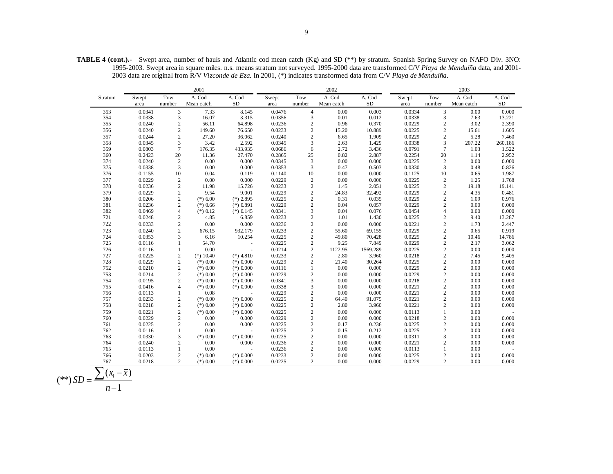**TABLE 4 (cont.).-** Swept area, number of hauls and Atlantic cod mean catch (Kg) and SD (\*\*) by stratum. Spanish Spring Survey on NAFO Div. 3NO: 1995-2003. Swept area in square miles. n.s. means stratum not surveyed. 1995-2000 data are transformed C/V *Playa de Menduíña* data, and 2001- 2003 data are original from R/V *Vizconde de Eza*. In 2001, (\*) indicates transformed data from C/V *Playa de Menduíña*.

|         |        |                                            | 2001        |                          |        |                  | 2002       |           |        |                                               | 2003       |         |
|---------|--------|--------------------------------------------|-------------|--------------------------|--------|------------------|------------|-----------|--------|-----------------------------------------------|------------|---------|
| Stratum | Swept  | Tow                                        | A. Cod      | A. Cod                   | Swept  | Tow              | A. Cod     | A. Cod    | Swept  | Tow                                           | A. Cod     | A. Cod  |
|         | area   | number                                     | Mean catch  | SD                       | area   | number           | Mean catch | <b>SD</b> | area   | number                                        | Mean catch | SD      |
| 353     | 0.0341 | $\overline{3}$                             | 7.33        | 8.145                    | 0.0476 | $\overline{4}$   | 0.00       | 0.003     | 0.0334 | $\mathfrak{Z}$                                | 0.00       | 0.000   |
| 354     | 0.0338 | 3                                          | 16.07       | 3.315                    | 0.0356 | 3                | 0.01       | 0.012     | 0.0338 | 3                                             | 7.63       | 13.221  |
| 355     | 0.0240 | $\sqrt{2}$                                 | 56.11       | 64.898                   | 0.0236 | $\sqrt{2}$       | 0.96       | 0.370     | 0.0229 | $\overline{c}$                                | 3.02       | 2.390   |
| 356     | 0.0240 | $\overline{c}$                             | 149.60      | 76.650                   | 0.0233 | $\overline{c}$   | 15.20      | 10.889    | 0.0225 | $\overline{c}$                                | 15.61      | 1.605   |
| 357     | 0.0244 | $\sqrt{2}$                                 | 27.20       | 36.062                   | 0.0240 | $\boldsymbol{2}$ | 6.65       | 1.909     | 0.0229 | $\sqrt{2}$                                    | 5.28       | 7.460   |
| 358     | 0.0345 | $\mathfrak{Z}$                             | 3.42        | 2.592                    | 0.0345 | $\mathfrak{Z}$   | 2.63       | 1.429     | 0.0338 | $\mathfrak{Z}$                                | 207.22     | 260.186 |
| 359     | 0.0803 | $7\phantom{.0}$                            | 176.35      | 433.935                  | 0.0686 | 6                | 2.72       | 3.436     | 0.0791 | $\tau$                                        | 1.03       | 1.522   |
| 360     | 0.2423 | 20                                         | 11.36       | 27.470                   | 0.2865 | 25               | 0.82       | 2.887     | 0.2254 | 20                                            | 1.14       | 2.952   |
| 374     | 0.0240 | $\sqrt{2}$                                 | 0.00        | 0.000                    | 0.0345 | $\mathfrak 3$    | 0.00       | 0.000     | 0.0225 | $\sqrt{2}$                                    | 0.00       | 0.000   |
| 375     | 0.0338 | 3                                          | 0.00        | 0.000                    | 0.0353 | 3                | 0.47       | 0.503     | 0.0330 | $\overline{3}$                                | 0.48       | 0.826   |
| 376     | 0.1155 | $10\,$                                     | 0.04        | 0.119                    | 0.1140 | 10               | 0.00       | 0.000     | 0.1125 | $10\,$                                        | 0.65       | 1.987   |
| 377     | 0.0229 | $\begin{smallmatrix}2\\2\end{smallmatrix}$ | 0.00        | 0.000                    | 0.0229 | $\sqrt{2}$       | 0.00       | 0.000     | 0.0225 | $\begin{smallmatrix}2\\2\end{smallmatrix}$    | 1.25       | 1.768   |
| 378     | 0.0236 |                                            | 11.98       | 15.726                   | 0.0233 | $\sqrt{2}$       | 1.45       | 2.051     | 0.0225 |                                               | 19.18      | 19.141  |
| 379     | 0.0229 | $\overline{c}$                             | 9.54        | 9.001                    | 0.0229 | $\mathbf{2}$     | 24.83      | 32.492    | 0.0229 | $\sqrt{2}$                                    | 4.35       | 0.481   |
| 380     | 0.0206 | $\sqrt{2}$                                 | $(*)$ 6.00  | $(*)$ 2.895              | 0.0225 | $\sqrt{2}$       | 0.31       | 0.035     | 0.0229 | $\frac{2}{2}$                                 | 1.09       | 0.976   |
| 381     | 0.0236 | $\overline{c}$                             | $(*)$ 0.66  | $(*) 0.891$              | 0.0229 | $\sqrt{2}$       | 0.04       | 0.057     | 0.0229 |                                               | 0.00       | 0.000   |
| 382     | 0.0469 | $\overline{4}$                             | $(*)$ 0.12  | $(*)$ 0.145              | 0.0341 | 3                | 0.04       | 0.076     | 0.0454 | $\overline{4}$                                | 0.00       | 0.000   |
| 721     | 0.0248 | $\overline{c}$                             | 4.85        | 6.859                    | 0.0233 | $\sqrt{2}$       | 1.01       | 1.430     | 0.0225 | $\sqrt{2}$                                    | 9.40       | 13.287  |
| 722     | 0.0233 | $\overline{c}$                             | 0.00        | 0.000                    | 0.0236 | $\sqrt{2}$       | 0.00       | 0.000     | 0.0221 | $\overline{c}$                                | 1.73       | 2.447   |
| 723     | 0.0240 | $\overline{c}$                             | 676.15      | 932.179                  | 0.0233 | $\overline{c}$   | 55.60      | 69.155    | 0.0229 | $\overline{c}$                                | 0.65       | 0.919   |
| 724     | 0.0353 | 3                                          | 6.16        | 10.254                   | 0.0225 | $\sqrt{2}$       | 49.80      | 70.428    | 0.0225 | $\overline{c}$                                | 10.46      | 14.786  |
| 725     | 0.0116 | 1                                          | 54.70       | ÷.                       | 0.0225 | $\overline{c}$   | 9.25       | 7.849     | 0.0229 | $\sqrt{2}$                                    | 2.17       | 3.062   |
| 726     | 0.0116 | $\mathbf{1}$                               | 0.00        |                          | 0.0214 | $\boldsymbol{2}$ | 1122.95    | 1569.289  | 0.0225 | $\frac{2}{2}$                                 | 0.00       | 0.000   |
| 727     | 0.0225 | $\sqrt{2}$                                 | $(*) 10.40$ | $(*)$ 4.810              | 0.0233 | $\sqrt{2}$       | 2.80       | 3.960     | 0.0218 |                                               | 7.45       | 9.405   |
| 728     | 0.0229 | $\sqrt{2}$                                 | $(*) 0.00$  | $(*)$ 0.000              | 0.0229 | $\overline{c}$   | 21.40      | 30.264    | 0.0225 | $\sqrt{2}$                                    | 0.00       | 0.000   |
| 752     | 0.0210 | $\sqrt{2}$                                 | $(*) 0.00$  | $(*)$ 0.000              | 0.0116 | $\mathbf{1}$     | 0.00       | 0.000     | 0.0229 | $\begin{smallmatrix}2\\2\\2\end{smallmatrix}$ | 0.00       | 0.000   |
| 753     | 0.0214 | $\sqrt{2}$                                 | $(*)$ 0.00  | $(*)$ 0.000              | 0.0229 | $\boldsymbol{2}$ | 0.00       | 0.000     | 0.0229 |                                               | 0.00       | 0.000   |
| 754     | 0.0195 | $\overline{c}$                             | $(*)$ 0.00  | $(*)$ 0.000              | 0.0341 | 3                | 0.00       | 0.000     | 0.0218 |                                               | 0.00       | 0.000   |
| 755     | 0.0416 | $\overline{4}$                             | $(*)$ 0.00  | $(*)$ 0.000              | 0.0338 | 3                | 0.00       | 0.000     | 0.0221 | $\sqrt{2}$                                    | 0.00       | 0.000   |
| 756     | 0.0113 | $\mathbf{1}$                               | 0.08        |                          | 0.0229 | $\sqrt{2}$       | 0.00       | 0.000     | 0.0221 | $\frac{2}{2}$                                 | 0.00       | 0.000   |
| 757     | 0.0233 | $\sqrt{2}$                                 | $(*)$ 0.00  | $(*)$ 0.000              | 0.0225 | $\sqrt{2}$       | 64.40      | 91.075    | 0.0221 |                                               | 0.00       | 0.000   |
| 758     | 0.0218 | $\sqrt{2}$                                 | $(*) 0.00$  | $(*)$ 0.000              | 0.0225 | $\sqrt{2}$       | 2.80       | 3.960     | 0.0221 | $\sqrt{2}$                                    | 0.00       | 0.000   |
| 759     | 0.0221 | $\,2$                                      | $(*)$ 0.00  | $(*)$ 0.000              | 0.0225 | $\sqrt{2}$       | 0.00       | 0.000     | 0.0113 | $1\,$                                         | 0.00       |         |
| 760     | 0.0229 | $\overline{c}$                             | 0.00        | 0.000                    | 0.0229 | $\overline{c}$   | 0.00       | 0.000     | 0.0218 | $\overline{c}$                                | 0.00       | 0.000   |
| 761     | 0.0225 | $\overline{c}$                             | 0.00        | 0.000                    | 0.0225 | $\mathbf{2}$     | 0.17       | 0.236     | 0.0225 | $\sqrt{2}$                                    | 0.00       | 0.000   |
| 762     | 0.0116 | $\mathbf{1}$                               | 0.00        | $\overline{\phantom{a}}$ | 0.0225 | $\sqrt{2}$       | 0.15       | 0.212     | 0.0225 | $\sqrt{2}$                                    | 0.00       | 0.000   |
| 763     | 0.0330 | 3                                          | $(*)$ 0.00  | $(*)$ 0.000              | 0.0225 | $\sqrt{2}$       | 0.00       | 0.000     | 0.0311 | 3                                             | 0.00       | 0.000   |
| 764     | 0.0240 | $\overline{c}$                             | 0.00        | 0.000                    | 0.0236 | $\overline{c}$   | 0.00       | 0.000     | 0.0221 | $\overline{c}$                                | 0.00       | 0.000   |
| 765     | 0.0113 | $\mathbf{1}$                               | 0.00        | $\sim$                   | 0.0236 | $\sqrt{2}$       | 0.00       | 0.000     | 0.0113 | $\mathbf{1}$                                  | 0.00       |         |
| 766     | 0.0203 | $\overline{c}$                             | $(*)$ 0.00  | $(*)$ 0.000              | 0.0233 | $\overline{c}$   | 0.00       | 0.000     | 0.0225 | $\sqrt{2}$                                    | 0.00       | 0.000   |
| 767     | 0.0218 | 2                                          | $(*)$ 0.00  | $(*)$ 0.000              | 0.0225 | $\overline{c}$   | 0.00       | 0.000     | 0.0229 | $\overline{2}$                                | 0.00       | 0.000   |

$$
(**) SD = \frac{\sum (x_i - \overline{x})}{n-1}
$$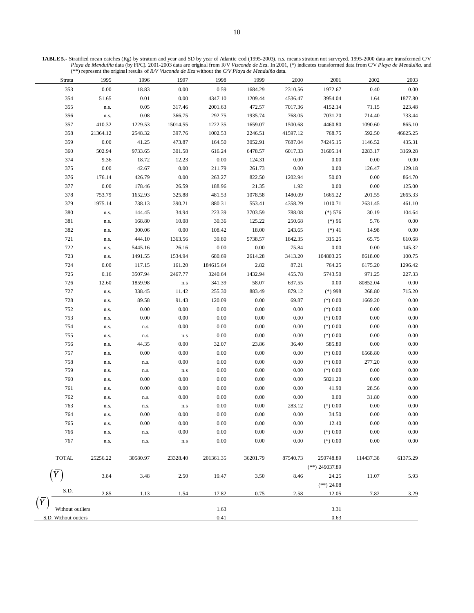**TABLE 5.-** Stratified mean catches (Kg) by stratum and year and SD by year of Atlantic cod (1995-2003). n.s. means stratum not surveyed. 1995-2000 data are transformed C/V *Playa de Menduíña* data (by FPC). 2001-2003 data are original from R/V *Vizconde de Eza*. In 2001, (\*) indicates transformed data from C/V *Playa de Menduíña*, and (\*\*) represent the original results of *R/V Vizconde de Eza* without the *C/V Playa de Menduíña* data.

| Strata                 | 1995          | 1996               | 1997                    | 1998      | 1999     | 2000     | 2001                      | 2002               | 2003     |
|------------------------|---------------|--------------------|-------------------------|-----------|----------|----------|---------------------------|--------------------|----------|
| 353                    | 0.00          | 18.83              | 0.00                    | 0.59      | 1684.29  | 2310.56  | 1972.67                   | 0.40               | $0.00\,$ |
| 354                    | 51.65         | $0.01\,$           | 0.00                    | 4347.10   | 1209.44  | 4536.47  | 3954.04                   | 1.64               | 1877.80  |
| 355                    | n.s.          | 0.05               | 317.46                  | 2001.63   | 472.57   | 7017.36  | 4152.14                   | 71.15              | 223.48   |
| 356                    | n.s.          | 0.08               | 366.75                  | 292.75    | 1935.74  | 768.05   | 7031.20                   | 714.40             | 733.44   |
| 357                    | 410.32        | 1229.53            | 15014.55                | 1222.35   | 1659.07  | 1500.68  | 4460.80                   | 1090.60            | 865.10   |
| 358                    | 21364.12      | 2548.32            | 397.76                  | 1002.53   | 2246.51  | 41597.12 | 768.75                    | 592.50             | 46625.25 |
| 359                    | 0.00          | 41.25              | 473.87                  | 164.50    | 3052.91  | 7687.04  | 74245.15                  | 1146.52            | 435.31   |
| 360                    | 502.94        | 9733.65            | 301.58                  | 616.24    | 6478.57  | 6017.33  | 31605.14                  | 2283.17            | 3169.28  |
| 374                    | 9.36          | 18.72              | 12.23                   | 0.00      | 124.31   | 0.00     | 0.00                      | 0.00               | $0.00\,$ |
| 375                    | 0.00          | 42.67              | 0.00                    | 211.79    | 261.73   | 0.00     | 0.00                      | 126.47             | 129.18   |
| 376                    | 176.14        | 426.79             | 0.00                    | 263.27    | 822.50   | 1202.94  | 50.03                     | 0.00               | 864.70   |
| 377                    | 0.00          | 178.46             | 26.59                   | 188.96    | 21.35    | 1.92     | $0.00\,$                  | 0.00               | 125.00   |
| 378                    | 753.79        | 1652.93            | 325.88                  | 481.53    | 1078.58  | 1480.09  | 1665.22                   | 201.55             | 2665.33  |
| 379                    | 1975.14       | 738.13             | 390.21                  | 880.31    | 553.41   | 4358.29  | 1010.71                   | 2631.45            | 461.10   |
| 380                    | n.s.          | 144.45             | 34.94                   | 223.39    | 3703.59  | 788.08   | $(*) 576$                 | 30.19              | 104.64   |
| 381                    | n.s.          | 168.80             | 10.08                   | 30.36     | 125.22   | 250.68   | $(*)96$                   | 5.76               | 0.00     |
| 382                    | n.s.          | 300.06             | $0.00\,$                | 108.42    | 18.00    | 243.65   | $(*) 41$                  | 14.98              | 0.00     |
| 721                    | n.s.          | 444.10             | 1363.56                 | 39.80     | 5738.57  | 1842.35  | 315.25                    | 65.75              | 610.68   |
| 722                    | n.s.          | 5445.16            | 26.16                   | 0.00      | 0.00     | 75.84    | $0.00\,$                  | $0.00\,$           | 145.32   |
| 723                    | n.s.          | 1491.55            | 1534.94                 | 680.69    | 2614.28  | 3413.20  | 104803.25                 | 8618.00            | 100.75   |
| 724                    | 0.00          | 117.15             | 161.20                  | 184615.64 | 2.82     | 87.21    | 764.25                    | 6175.20            | 1296.42  |
| 725                    |               | 3507.94            |                         | 3240.64   | 1432.94  | 455.78   |                           |                    | 227.33   |
| 726                    | 0.16<br>12.60 | 1859.98            | 2467.77                 |           | 58.07    | 637.55   | 5743.50<br>0.00           | 971.25<br>80852.04 | $0.00\,$ |
|                        |               |                    | $\mathbf{n}.\mathbf{s}$ | 341.39    |          |          |                           |                    |          |
| 727                    | n.s.          | 338.45             | 11.42                   | 255.30    | 883.49   | 879.12   | $(*)998$                  | 268.80             | 715.20   |
| 728                    | n.s.          | 89.58              | 91.43                   | 120.09    | 0.00     | 69.87    | $(*) 0.00$                | 1669.20            | $0.00\,$ |
| 752                    | n.s.          | $0.00\,$           | 0.00                    | 0.00      | $0.00\,$ | 0.00     | $(*) 0.00$                | 0.00               | 0.00     |
| 753                    | n.s.          | $0.00\,$           | 0.00                    | 0.00      | 0.00     | 0.00     | $(*) 0.00$                | 0.00               | 0.00     |
| 754                    | n.s.          | n.s.               | $0.00\,$                | 0.00      | 0.00     | 0.00     | $(*) 0.00$                | 0.00               | $0.00\,$ |
| 755                    | n.s.          | n.s.               | $\mathbf{n}.\mathbf{s}$ | 0.00      | $0.00\,$ | 0.00     | $(*) 0.00$                | 0.00               | $0.00\,$ |
| 756                    | n.s.          | 44.35              | 0.00                    | 32.07     | 23.86    | 36.40    | 585.80                    | $0.00\,$           | $0.00\,$ |
| 757                    | n.s.          | $0.00\,$           | 0.00                    | 0.00      | $0.00\,$ | 0.00     | $(*) 0.00$                | 6568.80            | $0.00\,$ |
| 758                    | n.s.          | n.s.               | 0.00                    | 0.00      | 0.00     | 0.00     | $(*) 0.00$                | 277.20             | 0.00     |
| 759                    | n.s.          | n.s.               | n.s                     | 0.00      | 0.00     | 0.00     | $(*) 0.00$                | $0.00\,$           | 0.00     |
| 760                    | n.s.          | $0.00\,$           | 0.00                    | 0.00      | 0.00     | 0.00     | 5821.20                   | 0.00               | 0.00     |
| 761                    | n.s.          | $0.00\,$           | 0.00                    | 0.00      | $0.00\,$ | 0.00     | 41.90                     | 28.56              | 0.00     |
| 762                    | n.s.          | n.s.               | $0.00\,$                | 0.00      | 0.00     | $0.00\,$ | $0.00\,$                  | 31.80              | $0.00\,$ |
| 763                    | n.s.          | ${\bf n}.{\bf s}.$ | $\mathbf{n}.\mathbf{s}$ | $0.00\,$  | 0.00     | 283.12   | $(*) 0.00$                | $0.00\,$           | $0.00\,$ |
| 764                    | n.s.          | 0.00               | 0.00                    | 0.00      | 0.00     | 0.00     | 34.50                     | $0.00\,$           | 0.00     |
| 765                    |               | $0.00\,$           | $0.00\,$                | $0.00\,$  | $0.00\,$ | 0.00     | 12.40                     | $0.00\,$           | $0.00\,$ |
| 766                    | n.s.          | n.s.               | 0.00                    | 0.00      | 0.00     | 0.00     | $(*) 0.00$                | 0.00               | $0.00\,$ |
| 767                    | n.s.          | n.s.               | ${\bf n}.{\bf s}$       | 0.00      | 0.00     | 0.00     | $(*) 0.00$                | 0.00               | 0.00     |
| <b>TOTAL</b>           | 25256.22      | 30580.97           | 23328.40                | 201361.35 | 36201.79 | 87540.73 | 250748.89                 | 114437.38          | 61375.29 |
| $\bar{Y}$              | 3.84          | 3.48               | 2.50                    | 19.47     | 3.50     | 8.46     | $(**)$ 249037.89<br>24.25 | 11.07              | 5.93     |
|                        |               |                    |                         |           |          |          | $(**)$ 24.08              |                    |          |
| S.D.<br>$\overline{Y}$ | 2.85          | 1.13               | 1.54                    | 17.82     | 0.75     | 2.58     | 12.05                     | 7.82               | 3.29     |
| Without outliers       |               |                    |                         | 1.63      |          |          | 3.31                      |                    |          |
| S.D. Without outiers   |               |                    |                         | 0.41      |          |          | 0.63                      |                    |          |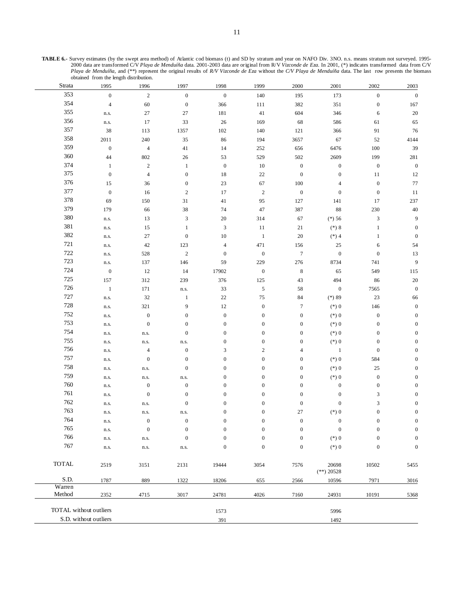| Strata                 | 1995             | 1996             | 1997             | 1998             | 1999             | 2000             | 2001                  | 2002                      | 2003             |
|------------------------|------------------|------------------|------------------|------------------|------------------|------------------|-----------------------|---------------------------|------------------|
| 353                    | $\mathbf{0}$     | $\overline{c}$   | $\boldsymbol{0}$ | $\boldsymbol{0}$ | 140              | 195              | 173                   | $\boldsymbol{0}$          | $\boldsymbol{0}$ |
| 354                    | $\overline{4}$   | 60               | $\boldsymbol{0}$ | 366              | 111              | 382              | 351                   | $\boldsymbol{0}$          | 167              |
| 355                    | n.s.             | $27\,$           | 27               | 181              | 41               | 604              | 346                   | 6                         | $20\,$           |
| 356                    | n.s.             | 17               | 33               | 26               | 169              | 68               | 586                   | 61                        | 65               |
| 357                    | 38               | 113              | 1357             | 102              | 140              | 121              | 366                   | 91                        | 76               |
| 358                    | 2011             | 240              | 35               | 86               | 194              | 3657             | 67                    | 52                        | 4144             |
| 359                    | $\boldsymbol{0}$ | $\overline{4}$   | 41               | 14               | 252              | 656              | 6476                  | $100\,$                   | 39               |
| 360                    | 44               | 802              | 26               | 53               | 529              | 502              | 2609                  | 199                       | 281              |
| 374                    | $\mathbf{1}$     | $\sqrt{2}$       | $\mathbf{1}$     | $\boldsymbol{0}$ | 10               | $\boldsymbol{0}$ | $\boldsymbol{0}$      | $\boldsymbol{0}$          | $\boldsymbol{0}$ |
| 375                    | $\boldsymbol{0}$ | $\overline{4}$   | $\boldsymbol{0}$ | 18               | 22               | $\boldsymbol{0}$ | $\boldsymbol{0}$      | 11                        | 12               |
| 376                    | 15               | 36               | $\boldsymbol{0}$ | 23               | 67               | 100              | 4                     | $\boldsymbol{0}$          | $77\,$           |
| 377                    | $\mathbf{0}$     | 16               | $\sqrt{2}$       | 17               | $\sqrt{2}$       | $\boldsymbol{0}$ | $\boldsymbol{0}$      | $\boldsymbol{0}$          | $11\,$           |
| 378                    | 69               | 150              | 31               | 41               | 95               | 127              | 141                   | 17                        | 237              |
| 379                    | 179              | 66               | 38               | 74               | 47               | 387              | 88                    | 230                       | $40\,$           |
| 380                    | n.s.             | 13               | $\mathfrak{Z}$   | 20               | 314              | 67               | $(*) 56$              | $\ensuremath{\mathsf{3}}$ | 9                |
| 381                    | n.s.             | 15               | $\mathbf{1}$     | $\mathfrak{Z}$   | 11               | 21               | $(*) 8$               | $\mathbf{1}$              | $\boldsymbol{0}$ |
| 382                    | n.s.             | 27               | $\boldsymbol{0}$ | $10\,$           | $\mathbf{1}$     | 20               | $(*)$ 4               | $\mathbf{1}$              | $\boldsymbol{0}$ |
| 721                    | n.s.             | $42\,$           | 123              | $\overline{4}$   | 471              | 156              | 25                    | $\sqrt{6}$                | 54               |
| 722                    | n.s.             | 528              | $\sqrt{2}$       | $\mathbf{0}$     | $\boldsymbol{0}$ | $\boldsymbol{7}$ | $\boldsymbol{0}$      | $\boldsymbol{0}$          | 13               |
| 723                    | n.s.             | 137              | 146              | 59               | 229              | 276              | 8734                  | 741                       | $\boldsymbol{9}$ |
| 724                    | $\boldsymbol{0}$ | 12               | 14               | 17902            | $\boldsymbol{0}$ | $\,8\,$          | 65                    | 549                       | 115              |
| 725                    | 157              | 312              | 239              | 376              | 125              | 43               | 494                   | 86                        | $20\,$           |
| 726                    | $\mathbf{1}$     | 171              | n.s.             | 33               | $\mathfrak s$    | 58               | $\boldsymbol{0}$      | 7565                      | $\boldsymbol{0}$ |
| 727                    | n.s.             | 32               | $\mathbf{1}$     | $22\,$           | 75               | 84               | $(*) 89$              | $23\,$                    | 66               |
| 728                    | n.s.             | 321              | 9                | 12               | $\boldsymbol{0}$ | $\boldsymbol{7}$ | $(*) 0$               | 146                       | $\boldsymbol{0}$ |
| 752                    | n.s.             | $\boldsymbol{0}$ | $\boldsymbol{0}$ | $\mathbf{0}$     | $\boldsymbol{0}$ | $\boldsymbol{0}$ | $(*)0$                | $\boldsymbol{0}$          | $\boldsymbol{0}$ |
| 753                    | n.s.             | $\boldsymbol{0}$ | $\boldsymbol{0}$ | $\boldsymbol{0}$ | $\boldsymbol{0}$ | $\boldsymbol{0}$ | $(*) 0$               | $\boldsymbol{0}$          | $\boldsymbol{0}$ |
| 754                    | n.s.             | n.s.             | $\boldsymbol{0}$ | $\boldsymbol{0}$ | $\boldsymbol{0}$ | $\boldsymbol{0}$ | $(*) 0$               | $\boldsymbol{0}$          | $\boldsymbol{0}$ |
| 755                    | n.s.             | n.s.             | n.s.             | $\boldsymbol{0}$ | $\boldsymbol{0}$ | $\boldsymbol{0}$ | $(*)0$                | $\boldsymbol{0}$          | $\boldsymbol{0}$ |
| 756                    | n.s.             | $\overline{4}$   | $\boldsymbol{0}$ | 3                | $\sqrt{2}$       | $\overline{4}$   | $\mathbf{1}$          | $\boldsymbol{0}$          | $\boldsymbol{0}$ |
| 757                    | n.s.             | $\boldsymbol{0}$ | $\boldsymbol{0}$ | $\boldsymbol{0}$ | $\boldsymbol{0}$ | $\boldsymbol{0}$ | $(*) 0$               | 584                       | $\boldsymbol{0}$ |
| 758                    | n.s.             | n.s.             | $\boldsymbol{0}$ | $\boldsymbol{0}$ | $\boldsymbol{0}$ | $\boldsymbol{0}$ | $(*) 0$               | $25\,$                    | $\boldsymbol{0}$ |
| 759                    | n.s.             | n.s.             | n.s.             | $\boldsymbol{0}$ | $\boldsymbol{0}$ | $\boldsymbol{0}$ | $(*)0$                | $\boldsymbol{0}$          | $\boldsymbol{0}$ |
| 760                    | n.s.             | $\boldsymbol{0}$ | $\boldsymbol{0}$ | $\mathbf{0}$     | $\boldsymbol{0}$ | $\boldsymbol{0}$ | $\boldsymbol{0}$      | $\boldsymbol{0}$          | $\boldsymbol{0}$ |
| 761                    | n.s.             | $\boldsymbol{0}$ | $\boldsymbol{0}$ | $\boldsymbol{0}$ | $\boldsymbol{0}$ | $\boldsymbol{0}$ | $\mathbf{0}$          | 3                         | $\boldsymbol{0}$ |
| 762                    | n.s.             | n.s.             | $\boldsymbol{0}$ | $\boldsymbol{0}$ | $\boldsymbol{0}$ | $\boldsymbol{0}$ | $\boldsymbol{0}$      | $\ensuremath{\mathsf{3}}$ | $\boldsymbol{0}$ |
| 763                    | n.s.             | n.s.             | n.s.             | $\boldsymbol{0}$ | $\boldsymbol{0}$ | 27               | $(\ast)$ 0            | $\boldsymbol{0}$          | $\boldsymbol{0}$ |
| 764                    | n.s.             | $\boldsymbol{0}$ | $\boldsymbol{0}$ | $\boldsymbol{0}$ | $\boldsymbol{0}$ | $\boldsymbol{0}$ | $\boldsymbol{0}$      | $\boldsymbol{0}$          | $\boldsymbol{0}$ |
| 765                    |                  | $\boldsymbol{0}$ | $\boldsymbol{0}$ | $\Omega$         | $\Omega$         | $\Omega$         | $\bf{0}$              | $\Omega$                  | $\boldsymbol{0}$ |
| 766                    | n.s.             |                  | $\boldsymbol{0}$ | $\boldsymbol{0}$ | $\boldsymbol{0}$ | $\boldsymbol{0}$ | $(*) 0$               | $\boldsymbol{0}$          | $\boldsymbol{0}$ |
| 767                    | n.s.             | n.s.             |                  | $\boldsymbol{0}$ | $\boldsymbol{0}$ | $\boldsymbol{0}$ |                       | $\boldsymbol{0}$          | $\boldsymbol{0}$ |
|                        | n.s.             | n.s.             | n.s.             |                  |                  |                  | $(*) 0$               |                           |                  |
| <b>TOTAL</b>           | 2519             | 3151             | 2131             | 19444            | 3054             | 7576             | 20698                 | 10502                     | 5455             |
| S.D.                   | 1787             | 889              | 1322             | 18206            | 655              | 2566             | $(**)$ 20528<br>10596 | 7971                      | 3016             |
| Warren                 |                  |                  |                  |                  |                  |                  |                       |                           |                  |
| Method                 | 2352             | 4715             | 3017             | 24781            | 4026             | 7160             | 24931                 | 10191                     | 5368             |
| TOTAL without outliers |                  |                  |                  | 1573             |                  |                  | 5996                  |                           |                  |
| S.D. without outliers  |                  |                  |                  | 391              |                  |                  | 1492                  |                           |                  |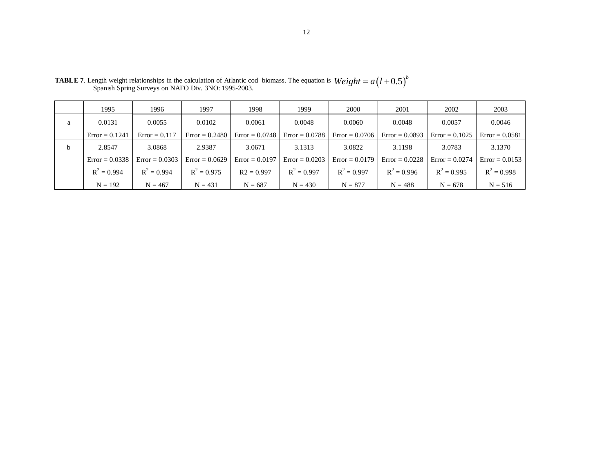|              | 1995             | 1996             | 1997             | 1998             | 1999             | 2000             | 2001             | 2002             | 2003             |
|--------------|------------------|------------------|------------------|------------------|------------------|------------------|------------------|------------------|------------------|
| a            | 0.0131           | 0.0055           | 0.0102           | 0.0061           | 0.0048           | 0.0060           | 0.0048           | 0.0057           | 0.0046           |
|              | $Error = 0.1241$ | $Error = 0.117$  | $Error = 0.2480$ | $Error = 0.0748$ | $Error = 0.0788$ | $Error = 0.0706$ | $Error = 0.0893$ | $Error = 0.1025$ | $Error = 0.0581$ |
| <sub>b</sub> | 2.8547           | 3.0868           | 2.9387           | 3.0671           | 3.1313           | 3.0822           | 3.1198           | 3.0783           | 3.1370           |
|              | $Error = 0.0338$ | $Error = 0.0303$ | $Error = 0.0629$ | $Error = 0.0197$ | $Error = 0.0203$ | $Error = 0.0179$ | $Error = 0.0228$ | $Error = 0.0274$ | $Error = 0.0153$ |
|              | $R^2 = 0.994$    | $R^2 = 0.994$    | $R^2 = 0.975$    | $R2 = 0.997$     | $R^2 = 0.997$    | $R^2 = 0.997$    | $R^2 = 0.996$    | $R^2 = 0.995$    | $R^2 = 0.998$    |
|              | $N = 192$        | $N = 467$        | $N = 431$        | $N = 687$        | $N = 430$        | $N = 877$        | $N = 488$        | $N = 678$        | $N = 516$        |

**TABLE 7**. Length weight relationships in the calculation of Atlantic cod biomass. The equation is **TABLE 7**. Length weight relationships in the calculation of Atlantic cod biomass. The equation is  $Weight = a(l + 0.5)^{b}$ <br>Spanish Spring Surveys on NAFO Div. 3NO: 1995-2003.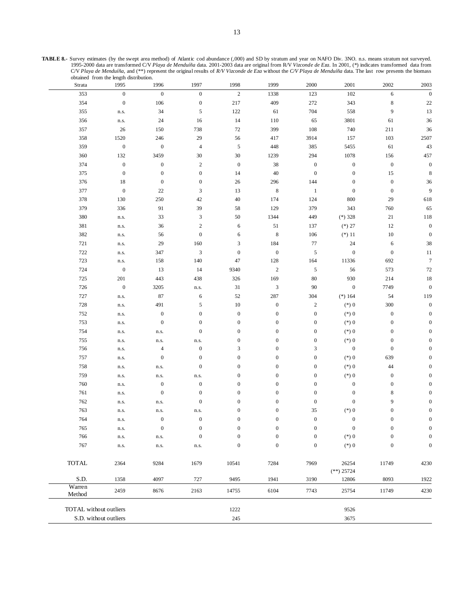**TABLE 8.-** Survey estimates (by the swept area method) of Atlantic cod abundance (,000) and SD by stratum and year on NAFO Div. 3NO. n.s. means stratum not surveyed. 1995-2000 data are transformed C/V *Playa de Menduíña* data. 2001-2003 data are original from R/V *Vizconde de Eza*. In 2001, (\*) indicates transformed data from C/V *Playa de Menduíña*, and (\*\*) represent the original results of *R/V Vizconde de Eza* without the *C/V Playa de Menduíña* data. The last row presents the biomass obtained from the length distribution.

| Strata           | 1995                   | 1996             | 1997                     | 1998             | 1999                      | 2000             | 2001                  | 2002             | 2003             |
|------------------|------------------------|------------------|--------------------------|------------------|---------------------------|------------------|-----------------------|------------------|------------------|
| 353              | $\boldsymbol{0}$       | $\boldsymbol{0}$ | $\boldsymbol{0}$         | $\sqrt{2}$       | 1338                      | 123              | 102                   | 6                | $\boldsymbol{0}$ |
| 354              | $\boldsymbol{0}$       | 106              | $\boldsymbol{0}$         | 217              | 409                       | 272              | 343                   | $\,$ 8 $\,$      | $22\,$           |
| 355              | n.s.                   | 34               | $\mathfrak{I}$           | 122              | 61                        | 704              | 558                   | 9                | 13               |
| 356              | n.s.                   | 24               | 16                       | 14               | 110                       | 65               | 3801                  | 61               | 36               |
| 357              | $26\,$                 | 150              | 738                      | 72               | 399                       | 108              | 740                   | 211              | 36               |
| 358              | 1520                   | 246              | 29                       | 56               | 417                       | 3914             | 157                   | 103              | 2507             |
| 359              | $\boldsymbol{0}$       | $\boldsymbol{0}$ | $\overline{4}$           | $\sqrt{5}$       | 448                       | 385              | 5455                  | 61               | 43               |
| 360              | 132                    | 3459             | 30                       | $30\,$           | 1239                      | 294              | 1078                  | 156              | 457              |
| 374              | $\boldsymbol{0}$       | $\boldsymbol{0}$ | $\boldsymbol{2}$         | $\boldsymbol{0}$ | 38                        | $\boldsymbol{0}$ | $\boldsymbol{0}$      | $\boldsymbol{0}$ | $\boldsymbol{0}$ |
| 375              | $\boldsymbol{0}$       | $\boldsymbol{0}$ | $\boldsymbol{0}$         | 14               | $40\,$                    | $\boldsymbol{0}$ | $\boldsymbol{0}$      | 15               | $\,$ 8 $\,$      |
| 376              | 18                     | $\boldsymbol{0}$ | $\boldsymbol{0}$         | 26               | 296                       | 144              | $\boldsymbol{0}$      | $\boldsymbol{0}$ | 36               |
| 377              | $\boldsymbol{0}$       | 22               | $\mathfrak{Z}$           | 13               | $\,8\,$                   | $\mathbf{1}$     | $\boldsymbol{0}$      | $\boldsymbol{0}$ | 9                |
| 378              | 130                    | 250              | 42                       | 40               | 174                       | 124              | 800                   | 29               | 618              |
| 379              | 336                    | 91               | 39                       | 58               | 129                       | 379              | 343                   | 760              | 65               |
| 380              | n.s.                   | 33               | $\mathfrak{Z}$           | 50               | 1344                      | 449              | $(*)$ 328             | 21               | 118              |
| 381              | n.s.                   | 36               | $\overline{2}$           | 6                | 51                        | 137              | $(*) 27$              | 12               | $\boldsymbol{0}$ |
| 382              | n.s.                   | 56               | $\boldsymbol{0}$         | 6                | $\,8\,$                   | 106              | $(*) 11$              | $10\,$           | $\boldsymbol{0}$ |
| 721              | n.s.                   | 29               | 160                      | $\mathfrak{Z}$   | 184                       | 77               | 24                    | 6                | 38               |
| 722              | n.s.                   | 347              | $\sqrt{3}$               | $\boldsymbol{0}$ | $\boldsymbol{0}$          | $\sqrt{5}$       | $\boldsymbol{0}$      | $\boldsymbol{0}$ | $11\,$           |
| 723              | n.s.                   | 158              | 140                      | 47               | 128                       | 164              | 11336                 | 692              | $\boldsymbol{7}$ |
| 724              | $\boldsymbol{0}$       | 13               | 14                       | 9340             | $\sqrt{2}$                | $\sqrt{5}$       | 56                    | 573              | $72\,$           |
| 725              | 201                    | 443              | 438                      | 326              | 169                       | 80               | 930                   | 214              | 18               |
| 726              | $\boldsymbol{0}$       | 3205             | n.s.                     | 31               | $\ensuremath{\mathsf{3}}$ | 90               | $\boldsymbol{0}$      | 7749             | $\boldsymbol{0}$ |
| 727              | n.s.                   | 87               | 6                        | 52               | 287                       | 304              | $(*) 164$             | 54               | 119              |
| 728              | n.s.                   | 491              | $\mathfrak{I}$           | 10               | $\boldsymbol{0}$          | $\boldsymbol{2}$ | $(\ast)$ 0            | 300              | $\mathbf{0}$     |
| 752              | n.s.                   | $\boldsymbol{0}$ | $\boldsymbol{0}$         | $\boldsymbol{0}$ | $\boldsymbol{0}$          | $\boldsymbol{0}$ | $(\ast)$ 0            | $\boldsymbol{0}$ | $\Omega$         |
| 753              | n.s.                   | $\boldsymbol{0}$ | $\boldsymbol{0}$         | $\boldsymbol{0}$ | $\boldsymbol{0}$          | $\boldsymbol{0}$ | $(*) 0$               | $\boldsymbol{0}$ | $\Omega$         |
| 754              | n.s.                   | n.s.             | $\boldsymbol{0}$         | $\boldsymbol{0}$ | $\boldsymbol{0}$          | $\boldsymbol{0}$ | $(\ast)$ 0            | $\boldsymbol{0}$ |                  |
| 755              | n.s.                   | n.s.             | n.s.                     | $\boldsymbol{0}$ | $\boldsymbol{0}$          | $\boldsymbol{0}$ | $(\ast)$ 0            | $\boldsymbol{0}$ |                  |
| 756              | n.s.                   | $\overline{4}$   | $\boldsymbol{0}$         | $\mathfrak{Z}$   | $\boldsymbol{0}$          | 3                | $\boldsymbol{0}$      | $\boldsymbol{0}$ | 0                |
| 757              | n.s.                   | $\boldsymbol{0}$ | $\mathbf{0}$             | $\boldsymbol{0}$ | $\boldsymbol{0}$          | $\boldsymbol{0}$ | $(*)0$                | 639              | 0                |
| 758              | n.s.                   | n.s.             | $\mathbf{0}$             | $\boldsymbol{0}$ | $\boldsymbol{0}$          | $\boldsymbol{0}$ | $(*) 0$               | 44               |                  |
| 759              | n.s.                   | n.s.             | n.s.                     | $\boldsymbol{0}$ | $\boldsymbol{0}$          | $\boldsymbol{0}$ | $(*)0$                | $\boldsymbol{0}$ |                  |
| 760              | n.s.                   | $\boldsymbol{0}$ | $\boldsymbol{0}$         | $\boldsymbol{0}$ | $\boldsymbol{0}$          | $\boldsymbol{0}$ | $\boldsymbol{0}$      | $\boldsymbol{0}$ |                  |
| 761              | n.s.                   | $\boldsymbol{0}$ | $\boldsymbol{0}$         | $\boldsymbol{0}$ | $\boldsymbol{0}$          | $\boldsymbol{0}$ | $\boldsymbol{0}$      | $\,$ 8 $\,$      |                  |
| 762              |                        |                  | $\boldsymbol{0}$         | $\boldsymbol{0}$ | $\boldsymbol{0}$          | $\boldsymbol{0}$ | $\boldsymbol{0}$      | 9                |                  |
| 763              | n.s.<br>n.s.           | n.s.<br>n.s.     |                          | $\boldsymbol{0}$ | $\boldsymbol{0}$          | 35               | $(\ast)$ 0            | $\boldsymbol{0}$ | $\Omega$         |
| 764              |                        | $\boldsymbol{0}$ | n.s.<br>$\boldsymbol{0}$ | $\boldsymbol{0}$ | $\boldsymbol{0}$          | $\boldsymbol{0}$ | $\boldsymbol{0}$      | $\boldsymbol{0}$ | 0                |
|                  | n.s.                   | $\boldsymbol{0}$ | $\boldsymbol{0}$         | $\boldsymbol{0}$ | $\mathbf{0}$              | $\Omega$         | $\boldsymbol{0}$      | $\Omega$         |                  |
| 765<br>766       | ${\bf n}.{\bf s}.$     |                  | $\boldsymbol{0}$         | $\boldsymbol{0}$ | $\boldsymbol{0}$          | $\boldsymbol{0}$ | $(*) 0$               | $\boldsymbol{0}$ | $\boldsymbol{0}$ |
| 767              | n.s.                   | n.s.             |                          | $\boldsymbol{0}$ | $\boldsymbol{0}$          | $\boldsymbol{0}$ | $(\ast)$ 0            | $\boldsymbol{0}$ | $\boldsymbol{0}$ |
|                  | ${\bf n}.{\bf s}.$     | n.s.             | n.s.                     |                  |                           |                  |                       |                  |                  |
| <b>TOTAL</b>     | 2364                   | 9284             | 1679                     | 10541            | 7284                      | 7969             | 26254<br>$(**)$ 25724 | 11749            | 4230             |
| S.D.             | 1358                   | 4097             | 727                      | 9495             | 1941                      | 3190             | 12806                 | 8093             | 1922             |
| Warren<br>Method | 2459                   | 8676             | 2163                     | 14755            | 6104                      | 7743             | 25754                 | 11749            | 4230             |
|                  | TOTAL without outliers |                  |                          | 1222             |                           |                  | 9526                  |                  |                  |
|                  | S.D. without outliers  |                  |                          | 245              |                           |                  | 3675                  |                  |                  |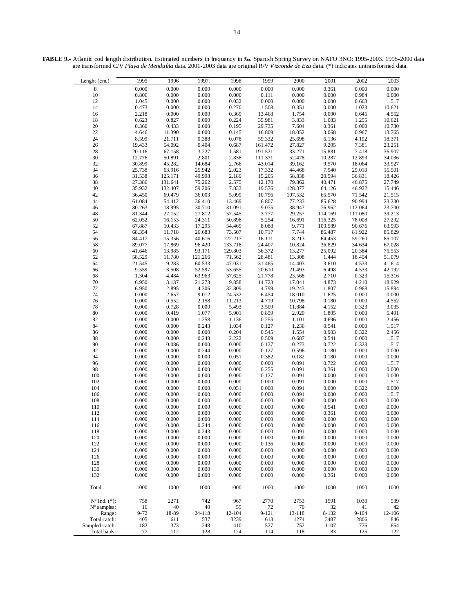| Lenght (cm.)             | 1995     | 1996    | 1997.   | 1998    | 1999      | 2000    | 2001    | 2002      | 2003   |
|--------------------------|----------|---------|---------|---------|-----------|---------|---------|-----------|--------|
|                          |          |         |         |         |           |         |         |           |        |
| 8                        | 0.000    | 0.000   | 0.000   | 0.000   | 0.000     | 0.000   | 0.361   | 0.000     | 0.000  |
| $10\,$                   | 0.806    | 0.000   | 0.000   | 0.000   | 0.111     | 0.000   | 0.000   | 0.984     | 0.000  |
| 12                       | 1.045    | 0.000   | 0.000   | 0.032   | 0.000     | 0.000   | 0.000   | 0.663     | 1.517  |
| 14                       | 0.473    | 0.000   | 0.000   | 0.270   | 1.508     | 0.351   | 0.000   | 1.023     | 10.621 |
|                          | 2.218    |         | 0.000   |         | 13.468    |         | 0.000   | 0.645     | 4.552  |
| 16                       |          | 0.000   |         | 0.369   |           | 1.754   |         |           |        |
| 18                       | 0.623    | 0.827   | 0.000   | 0.224   | 35.981    | 3.833   | 1.083   | 1.255     | 10.621 |
| $20\,$                   | 0.360    | 0.433   | 0.000   | 0.195   | 29.735    | 7.604   | 0.361   | 0.000     | 10.730 |
| 22                       | 4.646    | 11.390  | 0.000   | 0.145   | 16.809    | 18.052  | 3.068   | 0.967     | 13.765 |
| 24                       | 8.599    | 21.711  | 0.388   | 0.078   | 59.332    | 25.698  | 6.136   | 4.192     | 18.371 |
|                          |          |         |         |         |           |         |         |           |        |
| 26                       | 19.433   | 54.092  | 0.404   | 0.687   | 161.472   | 27.827  | 9.205   | 7.381     | 23.251 |
| 28                       | 20.116   | 67.158  | 3.227   | 1.581   | 191.521   | 33.271  | 15.881  | 7.418     | 36.907 |
| $30\,$                   | 12.776   | 50.891  | 2.801   | 2.838   | 111.371   | 52.478  | 10.287  | 12.893    | 34.036 |
| 32                       | 30.899   | 45.282  | 14.684  | 2.766   | 43.014    | 39.162  | 9.570   | 18.064    | 33.927 |
| 34                       | 25.738   | 63.916  | 25.942  | 2.023   | 17.332    | 44.468  | 7.940   | 29.010    | 15.501 |
|                          |          |         |         |         |           |         |         |           |        |
| 36                       | 31.538   | 125.171 | 49.998  | 2.189   | 15.205    | 58.838  | 20.594  | 36.831    | 18.426 |
| 38                       | 27.386   | 131.641 | 75.262  | 2.575   | 12.170    | 79.862  | 40.471  | 46.875    | 27.749 |
| 40                       | 35.932   | 132.407 | 59.206  | 7.833   | 19.576    | 128.377 | 64.126  | 46.922    | 15.446 |
| 42                       | 36.450   | 69.479  | 36.003  | 5.099   | 10.796    | 107.532 | 65.570  | 71.542    | 21.515 |
| 44                       | 61.084   | 54.412  |         |         | 6.807     | 77.233  | 85.628  | 90.994    | 23.230 |
|                          |          |         | 36.410  | 13.469  |           |         |         |           |        |
| 46                       | 80.263   | 18.995  | 30.710  | 31.091  | 9.075     | 38.947  | 76.962  | 112.064   | 23.700 |
| 48                       | 81.344   | 27.152  | 27.812  | 57.545  | 3.777     | 29.257  | 114.169 | 111.080   | 39.213 |
| 50                       | 62.052   | 16.153  | 24.311  | 50.898  | 5.254     | 16.691  | 116.325 | 78.008    | 27.292 |
| 52                       | 67.887   | 10.433  | 17.295  | 54.469  | 8.088     | 9.771   | 100.589 | 90.676    | 63.993 |
|                          |          |         |         |         |           |         |         |           |        |
| 54                       | 68.354   | 11.718  | 26.683  | 73.507  | 10.717    | 7.744   | 86.487  | 81.922    | 85.829 |
| 56                       | 84.417   | 15.356  | 40.616  | 122.217 | 16.111    | 8.213   | 64.453  | 59.260    | 85.107 |
| 58                       | 89.077   | 17.869  | 96.420  | 133.718 | 24.407    | 10.824  | 36.829  | 34.634    | 67.028 |
| 60                       | 41.646   | 13.985  | 93.171  | 129.803 | 36.372    | 13.277  | 25.092  | 20.384    | 75.553 |
| 62                       | 58.529   | 11.780  | 121.266 | 71.562  | 28.481    | 13.308  | 1.444   | 18.454    | 51.079 |
|                          |          |         |         |         |           |         |         |           |        |
| 64                       | 21.545   | 9.283   | 60.533  | 47.031  | 31.465    | 14.403  | 3.610   | 4.533     | 41.614 |
| 66                       | 9.559    | 3.508   | 52.597  | 53.655  | 20.610    | 21.493  | 6.498   | 4.533     | 42.192 |
| 68                       | 1.304    | 4.484   | 63.963  | 37.625  | 21.778    | 23.568  | 2.710   | 0.323     | 15.316 |
| 70                       | 6.950    | 3.137   | 21.273  | 9.858   | 14.723    | 17.041  | 4.873   | 4.210     | 18.929 |
| 72                       | 6.950    |         | 4.306   | 32.809  | 4.799     |         | 1.807   | 0.968     | 15.894 |
|                          |          | 2.895   |         |         |           | 19.243  |         |           |        |
| 74                       | 0.000    | 2.657   | 9.012   | 24.532  | 6.454     | 18.010  | 1.625   | 0.000     | 0.000  |
| 76                       | 0.000    | 0.552   | 2.158   | 11.213  | 4.719     | 10.798  | 0.180   | 0.000     | 4.552  |
| $78\,$                   | 0.000    | 0.728   | 0.000   | 5.493   | 3.509     | 11.884  | 4.152   | 0.323     | 3.035  |
| 80                       | 0.000    | 0.419   | 1.077   | 5.901   | 0.859     | 2.920   | 1.805   | 0.000     | 5.491  |
|                          |          |         |         |         |           |         |         | 0.000     |        |
| 82                       | 0.000    | 0.000   | 1.258   | 1.136   | 0.255     | 1.101   | 4.696   |           | 2.456  |
| 84                       | 0.000    | 0.000   | 0.243   | 1.034   | 0.127     | 1.236   | 0.541   | 0.000     | 1.517  |
| 86                       | 0.000    | 0.000   | 0.000   | 0.204   | 0.545     | 1.554   | 0.903   | 0.322     | 2.456  |
| 88                       | 0.000    | 0.000   | 0.243   | 2.222   | 0.509     | 0.687   | 0.541   | 0.000     | 1.517  |
| 90                       | 0.000    | 0.086   | 0.000   | 0.000   | 0.127     | 0.273   | 0.722   | 0.323     | 1.517  |
|                          |          |         |         |         |           |         |         |           |        |
| 92                       | 0.000    | 0.000   | 0.244   | 0.000   | 0.127     | 0.596   | 0.180   | 0.000     | 0.000  |
| 94                       | 0.000    | 0.000   | 0.000   | 0.051   | 0.382     | 0.182   | 0.180   | 0.000     | 0.000  |
| 96                       | 0.000    | 0.000   | 0.000   | 0.000   | 0.000     | 0.091   | 0.722   | 0.000     | 1.517  |
| 98                       | 0.000    | 0.000   | 0.000   | 0.000   | 0.255     | 0.091   | 0.361   | 0.000     | 0.000  |
| 100                      | 0.000    | 0.000   | 0.000   | 0.000   | 0.127     | 0.091   | 0.000   | 0.000     | 0.000  |
| 102                      | 0.000    |         |         |         |           |         |         | 0.000     |        |
|                          |          | 0.000   | 0.000   | 0.000   | 0.000     | 0.091   | 0.000   |           | 1.517  |
| 104                      | 0.000    | 0.000   | 0.000   | 0.051   | 0.000     | 0.091   | 0.000   | 0.322     | 0.000  |
| 106                      | 0.000    | 0.000   | 0.000   | 0.000   | 0.000     | 0.091   | 0.000   | 0.000     | 1.517  |
| 108                      | 0.000    | 0.000   | 0.000   | 0.000   | 0.000     | 0.000   | 0.000   | 0.000     | 0.000  |
| 110                      | 0.000    | 0.000   | 0.000   | 0.000   | 0.000     | 0.000   | 0.541   | 0.000     | 0.000  |
|                          |          |         |         |         |           |         |         |           |        |
| 112                      | 0.000    | 0.000   | 0.000   | 0.000   | 0.000     | 0.000   | 0.361   | 0.000     | 0.000  |
| 114                      | 0.000    | 0.000   | 0.000   | 0.000   | 0.000     | 0.000   | 0.000   | 0.000     | 0.000  |
| 116                      | 0.000    | 0.000   | 0.244   | 0.000   | 0.000     | 0.000   | 0.000   | 0.000     | 0.000  |
| 118                      | 0.000    | 0.000   | 0.243   | 0.000   | 0.000     | 0.091   | 0.000   | 0.000     | 0.000  |
| 120                      | 0.000    | 0.000   | 0.000   | 0.000   | 0.000     | 0.000   | 0.000   | 0.000     | 0.000  |
|                          |          |         |         |         |           |         |         |           |        |
| 122                      | 0.000    | 0.000   | 0.000   | 0.000   | 0.136     | 0.000   | 0.000   | 0.000     | 0.000  |
| 124                      | 0.000    | 0.000   | 0.000   | 0.000   | 0.000     | 0.000   | 0.000   | 0.000     | 0.000  |
| 126                      | 0.000    | 0.000   | 0.000   | 0.000   | 0.000     | 0.000   | 0.000   | 0.000     | 0.000  |
| 128                      | 0.000    | 0.000   | 0.000   | 0.000   | 0.000     | 0.000   | 0.000   | 0.000     | 0.000  |
| 130                      | 0.000    | 0.000   | 0.000   | 0.000   | 0.000     | 0.000   | 0.000   | 0.000     | 0.000  |
|                          |          |         |         |         |           |         |         |           |        |
| 132                      | 0.000    | 0.000   | 0.000   | 0.000   | 0.000     | 0.000   | 0.361   | 0.000     | 0.000  |
|                          |          |         |         |         |           |         |         |           |        |
| Total                    | 1000     | 1000    | 1000    | 1000    | 1000      | 1000    | 1000    | 1000      | 1000   |
|                          |          |         |         |         |           |         |         |           |        |
| $N^{\circ}$ Ind. $(*)$ : | 758      | 2271    | 742     | 967     | 2770      | 2753    | 1591    | 1030      | 539    |
|                          |          |         |         |         |           |         |         |           |        |
| $No$ samples:            | 16       | 40      | 40      | 55      | 72        | 70      | 32      | 41        | 42     |
| Range:                   | $9 - 72$ | 18-89   | 24-118  | 12-104  | $9 - 121$ | 13-118  | 8-132   | $9 - 104$ | 12-106 |
| Total catch:             | 405      | 611     | 537     | 3239    | 613       | 1274    | 3487    | 2806      | 846    |
| Sampled catch:           | 182      | 373     | 248     | 410     | 527       | 752     | 1107    | 776       | 654    |
| Total hauls:             | 77       | 112     |         | 124     | 114       |         | 83      |           | 122    |
|                          |          |         | 128     |         |           | 118     |         | 125       |        |

**TABLE 9.-** Atlantic cod length distribution. Estimated numbers in frequency in ‰. Spanish Spring Survey on NAFO 3NO: 1995-2003. 1995-2000 data are transformed C/V *Playa de Menduíña* data. 2001-2003 data are original R/V *Vizconde de Eza* data. (\*) indicates untransformed data.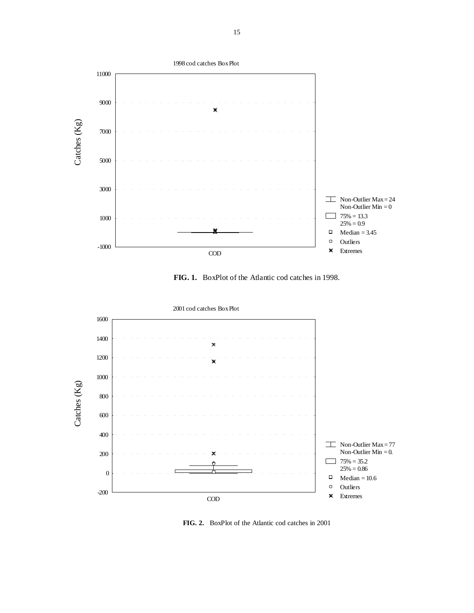

**FIG. 1.** BoxPlot of the Atlantic cod catches in 1998.



**FIG. 2.** BoxPlot of the Atlantic cod catches in 2001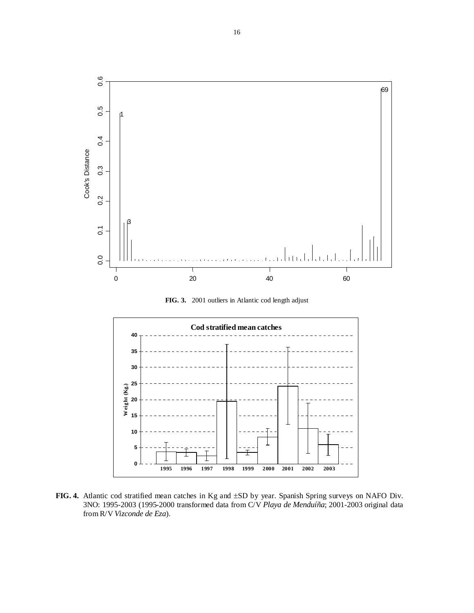

**FIG. 3.** 2001 outliers in Atlantic cod length adjust



**FIG. 4.** Atlantic cod stratified mean catches in Kg and ±SD by year. Spanish Spring surveys on NAFO Div. 3NO: 1995-2003 (1995-2000 transformed data from C/V *Playa de Menduíña*; 2001-2003 original data from R/V *Vizconde de Eza*).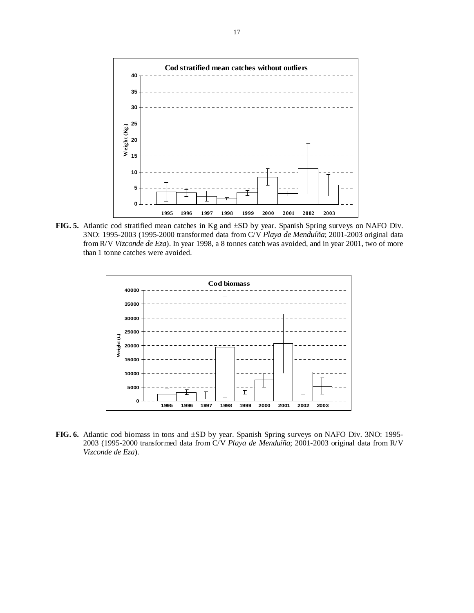

**FIG. 5.** Atlantic cod stratified mean catches in Kg and ±SD by year. Spanish Spring surveys on NAFO Div. 3NO: 1995-2003 (1995-2000 transformed data from C/V *Playa de Menduíña*; 2001-2003 original data from R/V *Vizconde de Eza*). In year 1998, a 8 tonnes catch was avoided, and in year 2001, two of more than 1 tonne catches were avoided.



**FIG. 6.** Atlantic cod biomass in tons and ±SD by year. Spanish Spring surveys on NAFO Div. 3NO: 1995- 2003 (1995-2000 transformed data from C/V *Playa de Menduíña*; 2001-2003 original data from R/V *Vizconde de Eza*).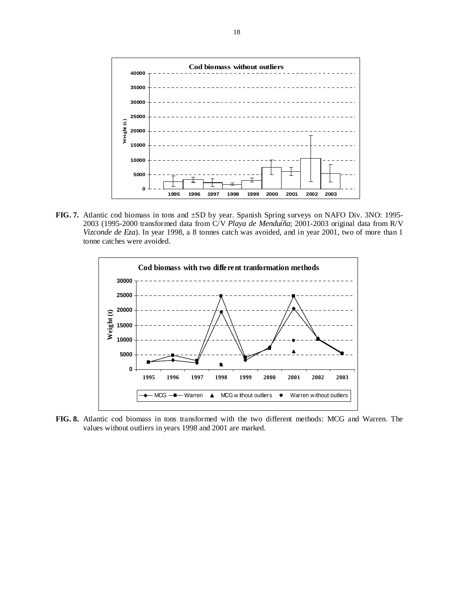

**FIG. 7.** Atlantic cod biomass in tons and ±SD by year. Spanish Spring surveys on NAFO Div. 3NO: 1995- 2003 (1995-2000 transformed data from C/V *Playa de Menduíña*; 2001-2003 original data from R/V *Vizconde de Eza*). In year 1998, a 8 tonnes catch was avoided, and in year 2001, two of more than 1 tonne catches were avoided.



**FIG. 8.** Atlantic cod biomass in tons transformed with the two different methods: MCG and Warren. The values without outliers in years 1998 and 2001 are marked.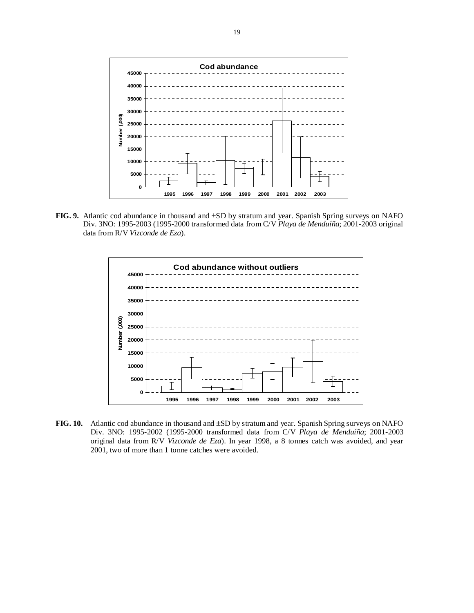

**FIG. 9.** Atlantic cod abundance in thousand and ±SD by stratum and year. Spanish Spring surveys on NAFO Div. 3NO: 1995-2003 (1995-2000 transformed data from C/V *Playa de Menduíña*; 2001-2003 original data from R/V *Vizconde de Eza*).



**FIG. 10.** Atlantic cod abundance in thousand and ±SD by stratum and year. Spanish Spring surveys on NAFO Div. 3NO: 1995-2002 (1995-2000 transformed data from C/V *Playa de Menduíña*; 2001-2003 original data from R/V *Vizconde de Eza*). In year 1998, a 8 tonnes catch was avoided, and year 2001, two of more than 1 tonne catches were avoided.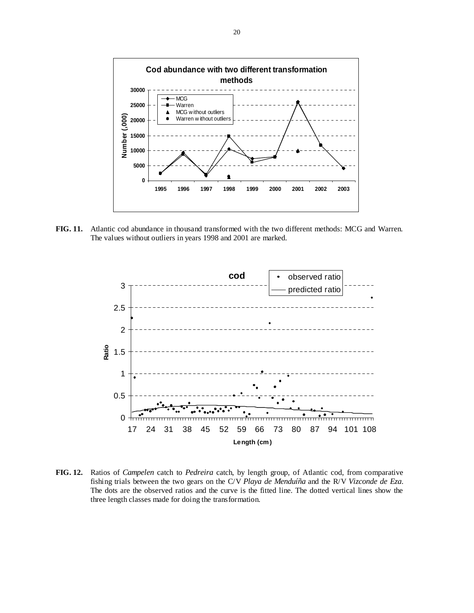

**FIG. 11.** Atlantic cod abundance in thousand transformed with the two different methods: MCG and Warren. The values without outliers in years 1998 and 2001 are marked.



**FIG. 12.** Ratios of *Campelen* catch to *Pedreira* catch, by length group, of Atlantic cod, from comparative fishing trials between the two gears on the C/V *Playa de Menduíña* and the R/V *Vizconde de Eza*. The dots are the observed ratios and the curve is the fitted line. The dotted vertical lines show the three length classes made for doing the transformation.